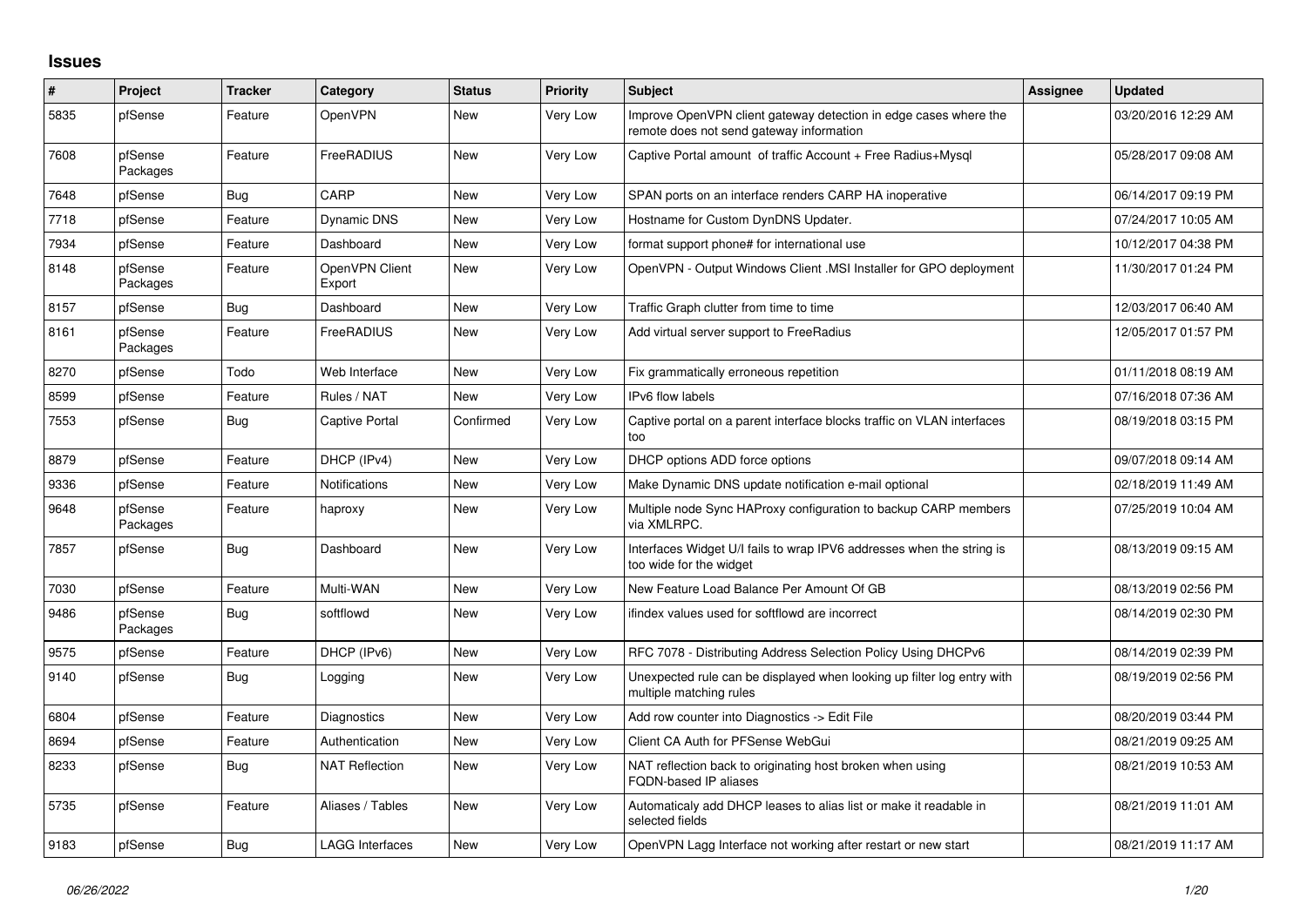## **Issues**

| #    | Project             | <b>Tracker</b> | Category                 | <b>Status</b> | <b>Priority</b> | <b>Subject</b>                                                                                               | <b>Assignee</b> | <b>Updated</b>      |
|------|---------------------|----------------|--------------------------|---------------|-----------------|--------------------------------------------------------------------------------------------------------------|-----------------|---------------------|
| 5835 | pfSense             | Feature        | OpenVPN                  | <b>New</b>    | <b>Very Low</b> | Improve OpenVPN client gateway detection in edge cases where the<br>remote does not send gateway information |                 | 03/20/2016 12:29 AM |
| 7608 | pfSense<br>Packages | Feature        | FreeRADIUS               | New           | <b>Very Low</b> | Captive Portal amount of traffic Account + Free Radius+Mysql                                                 |                 | 05/28/2017 09:08 AM |
| 7648 | pfSense             | <b>Bug</b>     | CARP                     | <b>New</b>    | <b>Very Low</b> | SPAN ports on an interface renders CARP HA inoperative                                                       |                 | 06/14/2017 09:19 PM |
| 7718 | pfSense             | Feature        | Dynamic DNS              | New           | <b>Very Low</b> | Hostname for Custom DynDNS Updater.                                                                          |                 | 07/24/2017 10:05 AM |
| 7934 | pfSense             | Feature        | Dashboard                | <b>New</b>    | <b>Very Low</b> | format support phone# for international use                                                                  |                 | 10/12/2017 04:38 PM |
| 8148 | pfSense<br>Packages | Feature        | OpenVPN Client<br>Export | New           | Very Low        | OpenVPN - Output Windows Client .MSI Installer for GPO deployment                                            |                 | 11/30/2017 01:24 PM |
| 8157 | pfSense             | Bug            | Dashboard                | <b>New</b>    | <b>Very Low</b> | Traffic Graph clutter from time to time                                                                      |                 | 12/03/2017 06:40 AM |
| 8161 | pfSense<br>Packages | Feature        | FreeRADIUS               | <b>New</b>    | Very Low        | Add virtual server support to FreeRadius                                                                     |                 | 12/05/2017 01:57 PM |
| 8270 | pfSense             | Todo           | Web Interface            | <b>New</b>    | Very Low        | Fix grammatically erroneous repetition                                                                       |                 | 01/11/2018 08:19 AM |
| 8599 | pfSense             | Feature        | Rules / NAT              | <b>New</b>    | Very Low        | IPv6 flow labels                                                                                             |                 | 07/16/2018 07:36 AM |
| 7553 | pfSense             | Bug            | <b>Captive Portal</b>    | Confirmed     | <b>Very Low</b> | Captive portal on a parent interface blocks traffic on VLAN interfaces<br>too                                |                 | 08/19/2018 03:15 PM |
| 8879 | pfSense             | Feature        | DHCP (IPv4)              | <b>New</b>    | <b>Very Low</b> | DHCP options ADD force options                                                                               |                 | 09/07/2018 09:14 AM |
| 9336 | pfSense             | Feature        | <b>Notifications</b>     | <b>New</b>    | Very Low        | Make Dynamic DNS update notification e-mail optional                                                         |                 | 02/18/2019 11:49 AM |
| 9648 | pfSense<br>Packages | Feature        | haproxy                  | New           | Very Low        | Multiple node Sync HAProxy configuration to backup CARP members<br>via XMLRPC.                               |                 | 07/25/2019 10:04 AM |
| 7857 | pfSense             | Bug            | Dashboard                | New           | Very Low        | Interfaces Widget U/I fails to wrap IPV6 addresses when the string is<br>too wide for the widget             |                 | 08/13/2019 09:15 AM |
| 7030 | pfSense             | Feature        | Multi-WAN                | <b>New</b>    | Very Low        | New Feature Load Balance Per Amount Of GB                                                                    |                 | 08/13/2019 02:56 PM |
| 9486 | pfSense<br>Packages | Bug            | softflowd                | New           | <b>Very Low</b> | ifindex values used for softflowd are incorrect                                                              |                 | 08/14/2019 02:30 PM |
| 9575 | pfSense             | Feature        | DHCP (IPv6)              | New           | Very Low        | RFC 7078 - Distributing Address Selection Policy Using DHCPv6                                                |                 | 08/14/2019 02:39 PM |
| 9140 | pfSense             | Bug            | Logging                  | <b>New</b>    | <b>Very Low</b> | Unexpected rule can be displayed when looking up filter log entry with<br>multiple matching rules            |                 | 08/19/2019 02:56 PM |
| 6804 | pfSense             | Feature        | Diagnostics              | <b>New</b>    | <b>Very Low</b> | Add row counter into Diagnostics -> Edit File                                                                |                 | 08/20/2019 03:44 PM |
| 8694 | pfSense             | Feature        | Authentication           | <b>New</b>    | Very Low        | Client CA Auth for PFSense WebGui                                                                            |                 | 08/21/2019 09:25 AM |
| 8233 | pfSense             | Bug            | <b>NAT Reflection</b>    | New           | Very Low        | NAT reflection back to originating host broken when using<br><b>FQDN-based IP aliases</b>                    |                 | 08/21/2019 10:53 AM |
| 5735 | pfSense             | Feature        | Aliases / Tables         | New           | Very Low        | Automaticaly add DHCP leases to alias list or make it readable in<br>selected fields                         |                 | 08/21/2019 11:01 AM |
| 9183 | pfSense             | Bug            | <b>LAGG Interfaces</b>   | <b>New</b>    | Very Low        | OpenVPN Lagg Interface not working after restart or new start                                                |                 | 08/21/2019 11:17 AM |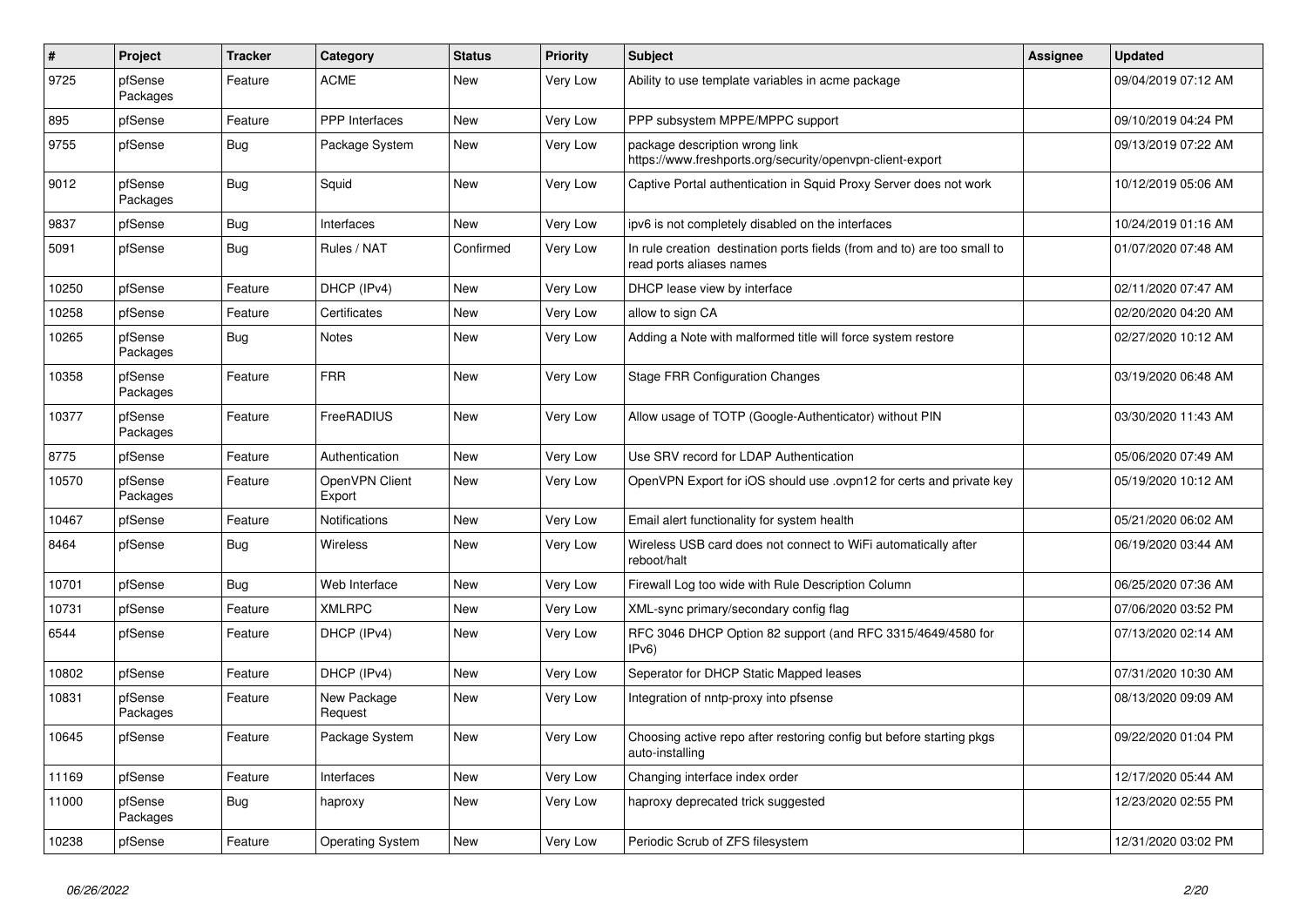| $\sharp$ | Project             | <b>Tracker</b> | Category                 | <b>Status</b> | Priority        | <b>Subject</b>                                                                                       | Assignee | <b>Updated</b>      |
|----------|---------------------|----------------|--------------------------|---------------|-----------------|------------------------------------------------------------------------------------------------------|----------|---------------------|
| 9725     | pfSense<br>Packages | Feature        | <b>ACME</b>              | <b>New</b>    | Very Low        | Ability to use template variables in acme package                                                    |          | 09/04/2019 07:12 AM |
| 895      | pfSense             | Feature        | <b>PPP</b> Interfaces    | New           | Very Low        | PPP subsystem MPPE/MPPC support                                                                      |          | 09/10/2019 04:24 PM |
| 9755     | pfSense             | <b>Bug</b>     | Package System           | New           | Very Low        | package description wrong link<br>https://www.freshports.org/security/openvpn-client-export          |          | 09/13/2019 07:22 AM |
| 9012     | pfSense<br>Packages | Bug            | Squid                    | <b>New</b>    | <b>Very Low</b> | Captive Portal authentication in Squid Proxy Server does not work                                    |          | 10/12/2019 05:06 AM |
| 9837     | pfSense             | <b>Bug</b>     | Interfaces               | <b>New</b>    | Very Low        | ipv6 is not completely disabled on the interfaces                                                    |          | 10/24/2019 01:16 AM |
| 5091     | pfSense             | <b>Bug</b>     | Rules / NAT              | Confirmed     | Very Low        | In rule creation destination ports fields (from and to) are too small to<br>read ports aliases names |          | 01/07/2020 07:48 AM |
| 10250    | pfSense             | Feature        | DHCP (IPv4)              | New           | Very Low        | DHCP lease view by interface                                                                         |          | 02/11/2020 07:47 AM |
| 10258    | pfSense             | Feature        | Certificates             | New           | Very Low        | allow to sign CA                                                                                     |          | 02/20/2020 04:20 AM |
| 10265    | pfSense<br>Packages | Bug            | Notes                    | New           | Very Low        | Adding a Note with malformed title will force system restore                                         |          | 02/27/2020 10:12 AM |
| 10358    | pfSense<br>Packages | Feature        | <b>FRR</b>               | <b>New</b>    | Very Low        | <b>Stage FRR Configuration Changes</b>                                                               |          | 03/19/2020 06:48 AM |
| 10377    | pfSense<br>Packages | Feature        | FreeRADIUS               | <b>New</b>    | <b>Very Low</b> | Allow usage of TOTP (Google-Authenticator) without PIN                                               |          | 03/30/2020 11:43 AM |
| 8775     | pfSense             | Feature        | Authentication           | <b>New</b>    | Very Low        | Use SRV record for LDAP Authentication                                                               |          | 05/06/2020 07:49 AM |
| 10570    | pfSense<br>Packages | Feature        | OpenVPN Client<br>Export | New           | Very Low        | OpenVPN Export for iOS should use .ovpn12 for certs and private key                                  |          | 05/19/2020 10:12 AM |
| 10467    | pfSense             | Feature        | <b>Notifications</b>     | <b>New</b>    | Very Low        | Email alert functionality for system health                                                          |          | 05/21/2020 06:02 AM |
| 8464     | pfSense             | <b>Bug</b>     | Wireless                 | <b>New</b>    | <b>Very Low</b> | Wireless USB card does not connect to WiFi automatically after<br>reboot/halt                        |          | 06/19/2020 03:44 AM |
| 10701    | pfSense             | <b>Bug</b>     | Web Interface            | <b>New</b>    | <b>Very Low</b> | Firewall Log too wide with Rule Description Column                                                   |          | 06/25/2020 07:36 AM |
| 10731    | pfSense             | Feature        | <b>XMLRPC</b>            | New           | Very Low        | XML-sync primary/secondary config flag                                                               |          | 07/06/2020 03:52 PM |
| 6544     | pfSense             | Feature        | DHCP (IPv4)              | New           | <b>Very Low</b> | RFC 3046 DHCP Option 82 support (and RFC 3315/4649/4580 for<br>IPv6)                                 |          | 07/13/2020 02:14 AM |
| 10802    | pfSense             | Feature        | DHCP (IPv4)              | <b>New</b>    | Very Low        | Seperator for DHCP Static Mapped leases                                                              |          | 07/31/2020 10:30 AM |
| 10831    | pfSense<br>Packages | Feature        | New Package<br>Request   | <b>New</b>    | Very Low        | Integration of nntp-proxy into pfsense                                                               |          | 08/13/2020 09:09 AM |
| 10645    | pfSense             | Feature        | Package System           | <b>New</b>    | Very Low        | Choosing active repo after restoring config but before starting pkgs<br>auto-installing              |          | 09/22/2020 01:04 PM |
| 11169    | pfSense             | Feature        | Interfaces               | <b>New</b>    | Very Low        | Changing interface index order                                                                       |          | 12/17/2020 05:44 AM |
| 11000    | pfSense<br>Packages | <b>Bug</b>     | haproxy                  | <b>New</b>    | Very Low        | haproxy deprecated trick suggested                                                                   |          | 12/23/2020 02:55 PM |
| 10238    | pfSense             | Feature        | <b>Operating System</b>  | <b>New</b>    | Very Low        | Periodic Scrub of ZFS filesystem                                                                     |          | 12/31/2020 03:02 PM |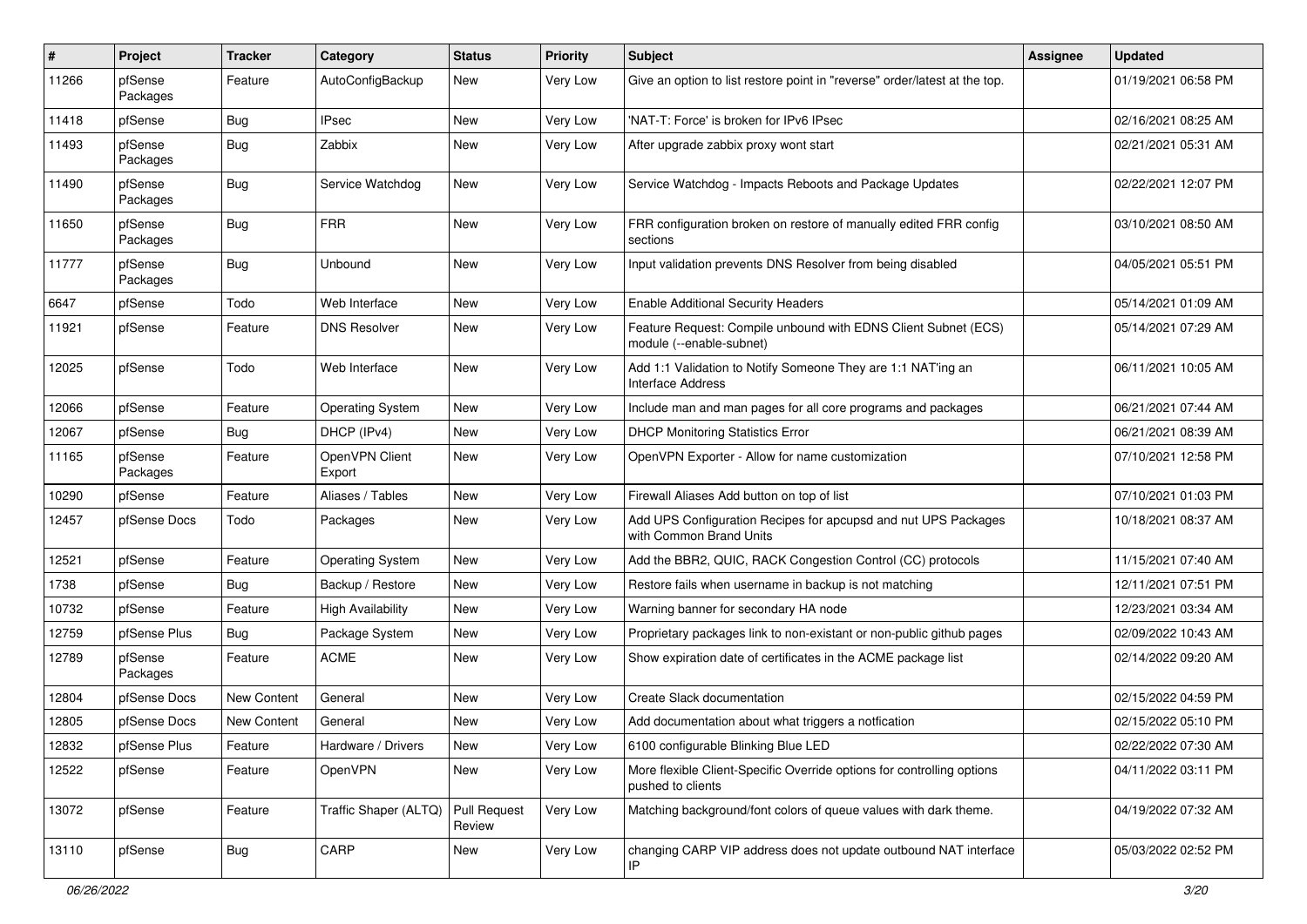| ∦     | Project             | <b>Tracker</b>     | Category                 | <b>Status</b>          | <b>Priority</b> | <b>Subject</b>                                                                              | <b>Assignee</b> | <b>Updated</b>      |
|-------|---------------------|--------------------|--------------------------|------------------------|-----------------|---------------------------------------------------------------------------------------------|-----------------|---------------------|
| 11266 | pfSense<br>Packages | Feature            | AutoConfigBackup         | New                    | Very Low        | Give an option to list restore point in "reverse" order/latest at the top.                  |                 | 01/19/2021 06:58 PM |
| 11418 | pfSense             | Bug                | <b>IPsec</b>             | New                    | Very Low        | 'NAT-T: Force' is broken for IPv6 IPsec                                                     |                 | 02/16/2021 08:25 AM |
| 11493 | pfSense<br>Packages | <b>Bug</b>         | Zabbix                   | New                    | Very Low        | After upgrade zabbix proxy wont start                                                       |                 | 02/21/2021 05:31 AM |
| 11490 | pfSense<br>Packages | <b>Bug</b>         | Service Watchdog         | New                    | Very Low        | Service Watchdog - Impacts Reboots and Package Updates                                      |                 | 02/22/2021 12:07 PM |
| 11650 | pfSense<br>Packages | <b>Bug</b>         | <b>FRR</b>               | <b>New</b>             | Very Low        | FRR configuration broken on restore of manually edited FRR config<br>sections               |                 | 03/10/2021 08:50 AM |
| 11777 | pfSense<br>Packages | Bug                | Unbound                  | New                    | Very Low        | Input validation prevents DNS Resolver from being disabled                                  |                 | 04/05/2021 05:51 PM |
| 6647  | pfSense             | Todo               | Web Interface            | <b>New</b>             | Very Low        | <b>Enable Additional Security Headers</b>                                                   |                 | 05/14/2021 01:09 AM |
| 11921 | pfSense             | Feature            | <b>DNS Resolver</b>      | New                    | Very Low        | Feature Request: Compile unbound with EDNS Client Subnet (ECS)<br>module (--enable-subnet)  |                 | 05/14/2021 07:29 AM |
| 12025 | pfSense             | Todo               | Web Interface            | New                    | Very Low        | Add 1:1 Validation to Notify Someone They are 1:1 NAT'ing an<br><b>Interface Address</b>    |                 | 06/11/2021 10:05 AM |
| 12066 | pfSense             | Feature            | <b>Operating System</b>  | <b>New</b>             | <b>Very Low</b> | Include man and man pages for all core programs and packages                                |                 | 06/21/2021 07:44 AM |
| 12067 | pfSense             | Bug                | DHCP (IPv4)              | New                    | Very Low        | <b>DHCP Monitoring Statistics Error</b>                                                     |                 | 06/21/2021 08:39 AM |
| 11165 | pfSense<br>Packages | Feature            | OpenVPN Client<br>Export | New                    | Very Low        | OpenVPN Exporter - Allow for name customization                                             |                 | 07/10/2021 12:58 PM |
| 10290 | pfSense             | Feature            | Aliases / Tables         | <b>New</b>             | Very Low        | Firewall Aliases Add button on top of list                                                  |                 | 07/10/2021 01:03 PM |
| 12457 | pfSense Docs        | Todo               | Packages                 | New                    | Very Low        | Add UPS Configuration Recipes for apcupsd and nut UPS Packages<br>with Common Brand Units   |                 | 10/18/2021 08:37 AM |
| 12521 | pfSense             | Feature            | <b>Operating System</b>  | New                    | <b>Very Low</b> | Add the BBR2, QUIC, RACK Congestion Control (CC) protocols                                  |                 | 11/15/2021 07:40 AM |
| 1738  | pfSense             | Bug                | Backup / Restore         | <b>New</b>             | Very Low        | Restore fails when username in backup is not matching                                       |                 | 12/11/2021 07:51 PM |
| 10732 | pfSense             | Feature            | <b>High Availability</b> | New                    | Very Low        | Warning banner for secondary HA node                                                        |                 | 12/23/2021 03:34 AM |
| 12759 | pfSense Plus        | <b>Bug</b>         | Package System           | <b>New</b>             | Very Low        | Proprietary packages link to non-existant or non-public github pages                        |                 | 02/09/2022 10:43 AM |
| 12789 | pfSense<br>Packages | Feature            | <b>ACME</b>              | New                    | Very Low        | Show expiration date of certificates in the ACME package list                               |                 | 02/14/2022 09:20 AM |
| 12804 | pfSense Docs        | <b>New Content</b> | General                  | New                    | Very Low        | Create Slack documentation                                                                  |                 | 02/15/2022 04:59 PM |
| 12805 | pfSense Docs        | <b>New Content</b> | General                  | New                    | Very Low        | Add documentation about what triggers a notfication                                         |                 | 02/15/2022 05:10 PM |
| 12832 | pfSense Plus        | Feature            | Hardware / Drivers       | New                    | Very Low        | 6100 configurable Blinking Blue LED                                                         |                 | 02/22/2022 07:30 AM |
| 12522 | pfSense             | Feature            | OpenVPN                  | New                    | Very Low        | More flexible Client-Specific Override options for controlling options<br>pushed to clients |                 | 04/11/2022 03:11 PM |
| 13072 | pfSense             | Feature            | Traffic Shaper (ALTQ)    | Pull Request<br>Review | Very Low        | Matching background/font colors of queue values with dark theme.                            |                 | 04/19/2022 07:32 AM |
| 13110 | pfSense             | <b>Bug</b>         | CARP                     | New                    | Very Low        | changing CARP VIP address does not update outbound NAT interface<br>IP                      |                 | 05/03/2022 02:52 PM |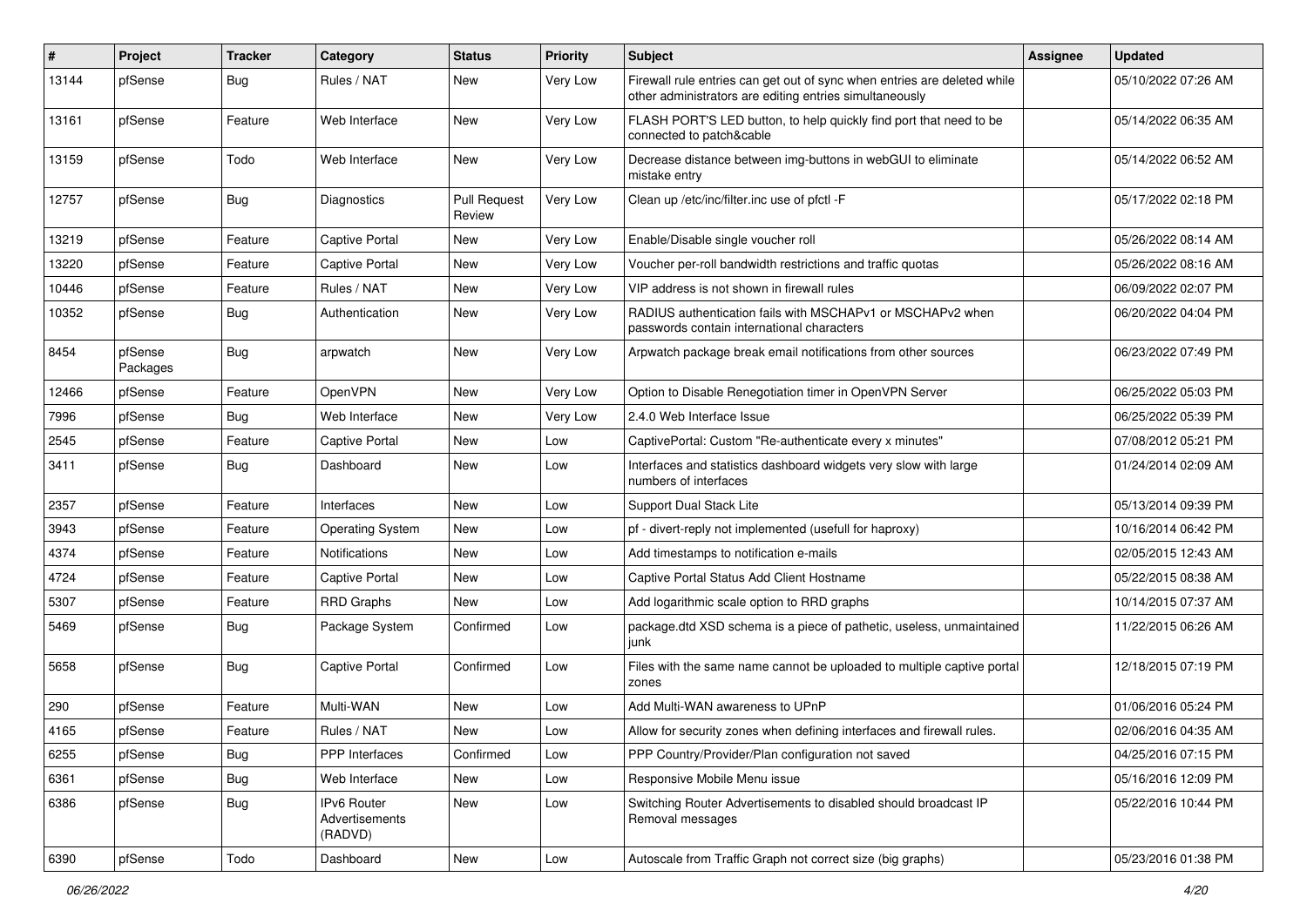| ∦     | Project             | <b>Tracker</b> | Category                                        | <b>Status</b>                 | <b>Priority</b> | <b>Subject</b>                                                                                                                      | <b>Assignee</b> | <b>Updated</b>      |
|-------|---------------------|----------------|-------------------------------------------------|-------------------------------|-----------------|-------------------------------------------------------------------------------------------------------------------------------------|-----------------|---------------------|
| 13144 | pfSense             | <b>Bug</b>     | Rules / NAT                                     | New                           | Very Low        | Firewall rule entries can get out of sync when entries are deleted while<br>other administrators are editing entries simultaneously |                 | 05/10/2022 07:26 AM |
| 13161 | pfSense             | Feature        | Web Interface                                   | <b>New</b>                    | Very Low        | FLASH PORT'S LED button, to help quickly find port that need to be<br>connected to patch&cable                                      |                 | 05/14/2022 06:35 AM |
| 13159 | pfSense             | Todo           | Web Interface                                   | <b>New</b>                    | Very Low        | Decrease distance between img-buttons in webGUI to eliminate<br>mistake entry                                                       |                 | 05/14/2022 06:52 AM |
| 12757 | pfSense             | Bug            | Diagnostics                                     | <b>Pull Request</b><br>Review | Very Low        | Clean up /etc/inc/filter.inc use of pfctl -F                                                                                        |                 | 05/17/2022 02:18 PM |
| 13219 | pfSense             | Feature        | Captive Portal                                  | New                           | Very Low        | Enable/Disable single voucher roll                                                                                                  |                 | 05/26/2022 08:14 AM |
| 13220 | pfSense             | Feature        | Captive Portal                                  | <b>New</b>                    | <b>Very Low</b> | Voucher per-roll bandwidth restrictions and traffic quotas                                                                          |                 | 05/26/2022 08:16 AM |
| 10446 | pfSense             | Feature        | Rules / NAT                                     | New                           | Very Low        | VIP address is not shown in firewall rules                                                                                          |                 | 06/09/2022 02:07 PM |
| 10352 | pfSense             | Bug            | Authentication                                  | New                           | Very Low        | RADIUS authentication fails with MSCHAPv1 or MSCHAPv2 when<br>passwords contain international characters                            |                 | 06/20/2022 04:04 PM |
| 8454  | pfSense<br>Packages | Bug            | arpwatch                                        | New                           | Very Low        | Arpwatch package break email notifications from other sources                                                                       |                 | 06/23/2022 07:49 PM |
| 12466 | pfSense             | Feature        | OpenVPN                                         | <b>New</b>                    | Very Low        | Option to Disable Renegotiation timer in OpenVPN Server                                                                             |                 | 06/25/2022 05:03 PM |
| 7996  | pfSense             | <b>Bug</b>     | Web Interface                                   | New                           | Very Low        | 2.4.0 Web Interface Issue                                                                                                           |                 | 06/25/2022 05:39 PM |
| 2545  | pfSense             | Feature        | Captive Portal                                  | New                           | Low             | CaptivePortal: Custom "Re-authenticate every x minutes"                                                                             |                 | 07/08/2012 05:21 PM |
| 3411  | pfSense             | Bug            | Dashboard                                       | New                           | Low             | Interfaces and statistics dashboard widgets very slow with large<br>numbers of interfaces                                           |                 | 01/24/2014 02:09 AM |
| 2357  | pfSense             | Feature        | Interfaces                                      | <b>New</b>                    | Low             | Support Dual Stack Lite                                                                                                             |                 | 05/13/2014 09:39 PM |
| 3943  | pfSense             | Feature        | <b>Operating System</b>                         | New                           | Low             | pf - divert-reply not implemented (usefull for haproxy)                                                                             |                 | 10/16/2014 06:42 PM |
| 4374  | pfSense             | Feature        | <b>Notifications</b>                            | New                           | Low             | Add timestamps to notification e-mails                                                                                              |                 | 02/05/2015 12:43 AM |
| 4724  | pfSense             | Feature        | Captive Portal                                  | <b>New</b>                    | Low             | Captive Portal Status Add Client Hostname                                                                                           |                 | 05/22/2015 08:38 AM |
| 5307  | pfSense             | Feature        | <b>RRD Graphs</b>                               | <b>New</b>                    | Low             | Add logarithmic scale option to RRD graphs                                                                                          |                 | 10/14/2015 07:37 AM |
| 5469  | pfSense             | Bug            | Package System                                  | Confirmed                     | Low             | package.dtd XSD schema is a piece of pathetic, useless, unmaintained<br>l junk                                                      |                 | 11/22/2015 06:26 AM |
| 5658  | pfSense             | <b>Bug</b>     | Captive Portal                                  | Confirmed                     | Low             | Files with the same name cannot be uploaded to multiple captive portal<br>zones                                                     |                 | 12/18/2015 07:19 PM |
| 290   | pfSense             | Feature        | Multi-WAN                                       | New                           | Low             | Add Multi-WAN awareness to UPnP                                                                                                     |                 | 01/06/2016 05:24 PM |
| 4165  | pfSense             | Feature        | Rules / NAT                                     | New                           | Low             | Allow for security zones when defining interfaces and firewall rules.                                                               |                 | 02/06/2016 04:35 AM |
| 6255  | pfSense             | Bug            | PPP Interfaces                                  | Confirmed                     | Low             | PPP Country/Provider/Plan configuration not saved                                                                                   |                 | 04/25/2016 07:15 PM |
| 6361  | pfSense             | <b>Bug</b>     | Web Interface                                   | New                           | Low             | Responsive Mobile Menu issue                                                                                                        |                 | 05/16/2016 12:09 PM |
| 6386  | pfSense             | <b>Bug</b>     | <b>IPv6 Router</b><br>Advertisements<br>(RADVD) | New                           | Low             | Switching Router Advertisements to disabled should broadcast IP<br>Removal messages                                                 |                 | 05/22/2016 10:44 PM |
| 6390  | pfSense             | Todo           | Dashboard                                       | New                           | Low             | Autoscale from Traffic Graph not correct size (big graphs)                                                                          |                 | 05/23/2016 01:38 PM |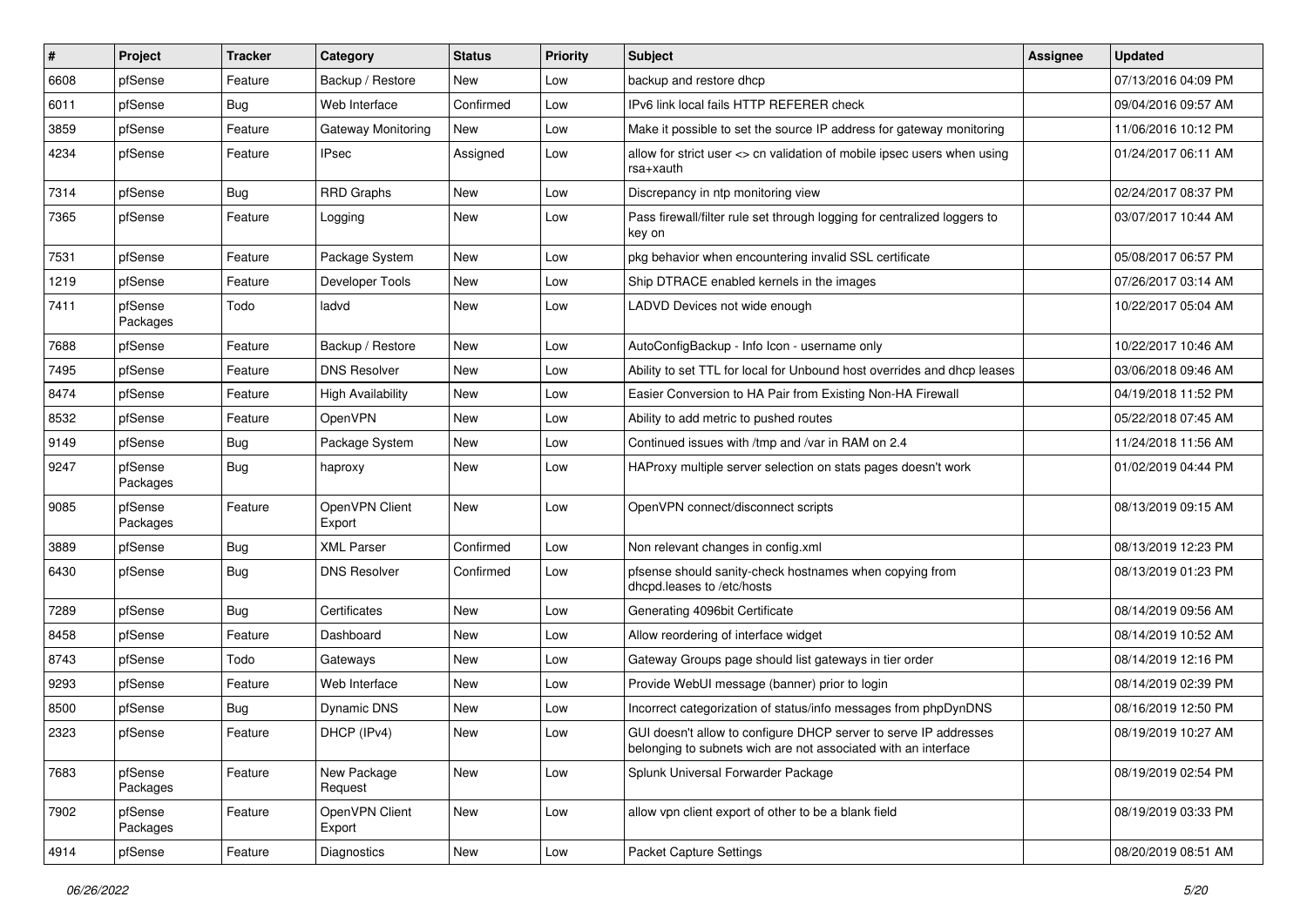| #    | Project             | <b>Tracker</b> | Category                 | <b>Status</b> | <b>Priority</b> | <b>Subject</b>                                                                                                                     | <b>Assignee</b> | <b>Updated</b>      |
|------|---------------------|----------------|--------------------------|---------------|-----------------|------------------------------------------------------------------------------------------------------------------------------------|-----------------|---------------------|
| 6608 | pfSense             | Feature        | Backup / Restore         | New           | Low             | backup and restore dhcp                                                                                                            |                 | 07/13/2016 04:09 PM |
| 6011 | pfSense             | Bug            | Web Interface            | Confirmed     | Low             | IPv6 link local fails HTTP REFERER check                                                                                           |                 | 09/04/2016 09:57 AM |
| 3859 | pfSense             | Feature        | Gateway Monitoring       | New           | Low             | Make it possible to set the source IP address for gateway monitoring                                                               |                 | 11/06/2016 10:12 PM |
| 4234 | pfSense             | Feature        | <b>IPsec</b>             | Assigned      | Low             | allow for strict user <> cn validation of mobile ipsec users when using<br>rsa+xauth                                               |                 | 01/24/2017 06:11 AM |
| 7314 | pfSense             | Bug            | <b>RRD Graphs</b>        | New           | Low             | Discrepancy in ntp monitoring view                                                                                                 |                 | 02/24/2017 08:37 PM |
| 7365 | pfSense             | Feature        | Logging                  | New           | Low             | Pass firewall/filter rule set through logging for centralized loggers to<br>key on                                                 |                 | 03/07/2017 10:44 AM |
| 7531 | pfSense             | Feature        | Package System           | New           | Low             | pkg behavior when encountering invalid SSL certificate                                                                             |                 | 05/08/2017 06:57 PM |
| 1219 | pfSense             | Feature        | Developer Tools          | New           | Low             | Ship DTRACE enabled kernels in the images                                                                                          |                 | 07/26/2017 03:14 AM |
| 7411 | pfSense<br>Packages | Todo           | ladvd                    | New           | Low             | LADVD Devices not wide enough                                                                                                      |                 | 10/22/2017 05:04 AM |
| 7688 | pfSense             | Feature        | Backup / Restore         | New           | Low             | AutoConfigBackup - Info Icon - username only                                                                                       |                 | 10/22/2017 10:46 AM |
| 7495 | pfSense             | Feature        | <b>DNS Resolver</b>      | New           | Low             | Ability to set TTL for local for Unbound host overrides and dhcp leases                                                            |                 | 03/06/2018 09:46 AM |
| 8474 | pfSense             | Feature        | <b>High Availability</b> | New           | Low             | Easier Conversion to HA Pair from Existing Non-HA Firewall                                                                         |                 | 04/19/2018 11:52 PM |
| 8532 | pfSense             | Feature        | <b>OpenVPN</b>           | New           | Low             | Ability to add metric to pushed routes                                                                                             |                 | 05/22/2018 07:45 AM |
| 9149 | pfSense             | <b>Bug</b>     | Package System           | New           | Low             | Continued issues with /tmp and /var in RAM on 2.4                                                                                  |                 | 11/24/2018 11:56 AM |
| 9247 | pfSense<br>Packages | <b>Bug</b>     | haproxy                  | New           | Low             | HAProxy multiple server selection on stats pages doesn't work                                                                      |                 | 01/02/2019 04:44 PM |
| 9085 | pfSense<br>Packages | Feature        | OpenVPN Client<br>Export | New           | Low             | OpenVPN connect/disconnect scripts                                                                                                 |                 | 08/13/2019 09:15 AM |
| 3889 | pfSense             | Bug            | <b>XML Parser</b>        | Confirmed     | Low             | Non relevant changes in config.xml                                                                                                 |                 | 08/13/2019 12:23 PM |
| 6430 | pfSense             | Bug            | <b>DNS Resolver</b>      | Confirmed     | Low             | pfsense should sanity-check hostnames when copying from<br>dhcpd.leases to /etc/hosts                                              |                 | 08/13/2019 01:23 PM |
| 7289 | pfSense             | Bug            | Certificates             | New           | Low             | Generating 4096bit Certificate                                                                                                     |                 | 08/14/2019 09:56 AM |
| 8458 | pfSense             | Feature        | Dashboard                | New           | Low             | Allow reordering of interface widget                                                                                               |                 | 08/14/2019 10:52 AM |
| 8743 | pfSense             | Todo           | Gateways                 | New           | Low             | Gateway Groups page should list gateways in tier order                                                                             |                 | 08/14/2019 12:16 PM |
| 9293 | pfSense             | Feature        | Web Interface            | New           | Low             | Provide WebUI message (banner) prior to login                                                                                      |                 | 08/14/2019 02:39 PM |
| 8500 | pfSense             | Bug            | Dynamic DNS              | New           | Low             | Incorrect categorization of status/info messages from phpDynDNS                                                                    |                 | 08/16/2019 12:50 PM |
| 2323 | pfSense             | Feature        | DHCP (IPv4)              | New           | Low             | GUI doesn't allow to configure DHCP server to serve IP addresses<br>belonging to subnets wich are not associated with an interface |                 | 08/19/2019 10:27 AM |
| 7683 | pfSense<br>Packages | Feature        | New Package<br>Request   | New           | Low             | Splunk Universal Forwarder Package                                                                                                 |                 | 08/19/2019 02:54 PM |
| 7902 | pfSense<br>Packages | Feature        | OpenVPN Client<br>Export | New           | Low             | allow vpn client export of other to be a blank field                                                                               |                 | 08/19/2019 03:33 PM |
| 4914 | pfSense             | Feature        | Diagnostics              | New           | Low             | Packet Capture Settings                                                                                                            |                 | 08/20/2019 08:51 AM |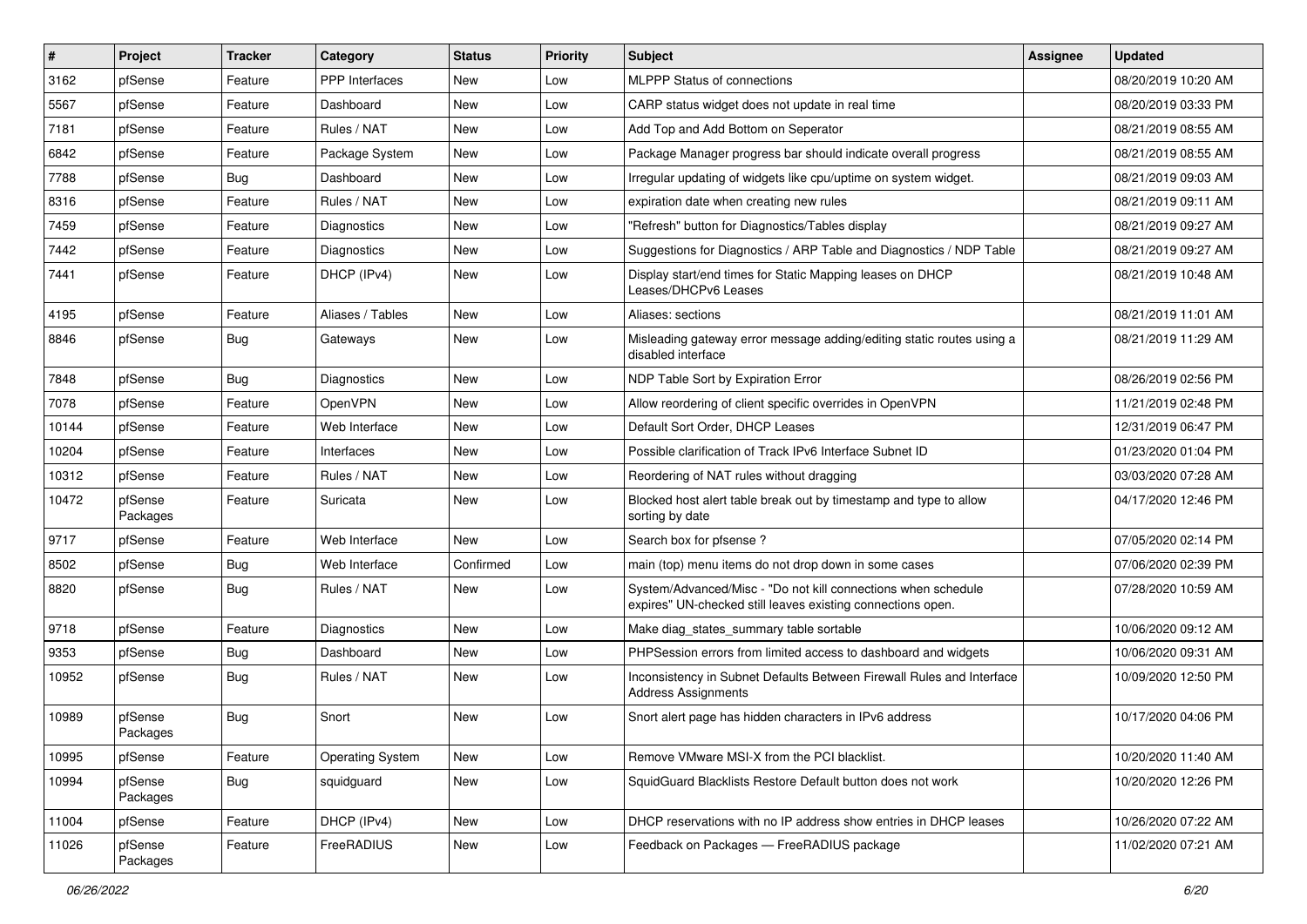| $\vert$ # | Project             | <b>Tracker</b> | Category                | <b>Status</b> | <b>Priority</b> | <b>Subject</b>                                                                                                               | <b>Assignee</b> | <b>Updated</b>      |
|-----------|---------------------|----------------|-------------------------|---------------|-----------------|------------------------------------------------------------------------------------------------------------------------------|-----------------|---------------------|
| 3162      | pfSense             | Feature        | PPP Interfaces          | New           | Low             | <b>MLPPP Status of connections</b>                                                                                           |                 | 08/20/2019 10:20 AM |
| 5567      | pfSense             | Feature        | Dashboard               | New           | Low             | CARP status widget does not update in real time                                                                              |                 | 08/20/2019 03:33 PM |
| 7181      | pfSense             | Feature        | Rules / NAT             | New           | Low             | Add Top and Add Bottom on Seperator                                                                                          |                 | 08/21/2019 08:55 AM |
| 6842      | pfSense             | Feature        | Package System          | <b>New</b>    | Low             | Package Manager progress bar should indicate overall progress                                                                |                 | 08/21/2019 08:55 AM |
| 7788      | pfSense             | Bug            | Dashboard               | <b>New</b>    | Low             | Irregular updating of widgets like cpu/uptime on system widget.                                                              |                 | 08/21/2019 09:03 AM |
| 8316      | pfSense             | Feature        | Rules / NAT             | New           | Low             | expiration date when creating new rules                                                                                      |                 | 08/21/2019 09:11 AM |
| 7459      | pfSense             | Feature        | Diagnostics             | New           | Low             | "Refresh" button for Diagnostics/Tables display                                                                              |                 | 08/21/2019 09:27 AM |
| 7442      | pfSense             | Feature        | Diagnostics             | New           | Low             | Suggestions for Diagnostics / ARP Table and Diagnostics / NDP Table                                                          |                 | 08/21/2019 09:27 AM |
| 7441      | pfSense             | Feature        | DHCP (IPv4)             | <b>New</b>    | Low             | Display start/end times for Static Mapping leases on DHCP<br>Leases/DHCPv6 Leases                                            |                 | 08/21/2019 10:48 AM |
| 4195      | pfSense             | Feature        | Aliases / Tables        | <b>New</b>    | Low             | Aliases: sections                                                                                                            |                 | 08/21/2019 11:01 AM |
| 8846      | pfSense             | Bug            | Gateways                | New           | Low             | Misleading gateway error message adding/editing static routes using a<br>disabled interface                                  |                 | 08/21/2019 11:29 AM |
| 7848      | pfSense             | Bug            | Diagnostics             | <b>New</b>    | Low             | NDP Table Sort by Expiration Error                                                                                           |                 | 08/26/2019 02:56 PM |
| 7078      | pfSense             | Feature        | OpenVPN                 | New           | Low             | Allow reordering of client specific overrides in OpenVPN                                                                     |                 | 11/21/2019 02:48 PM |
| 10144     | pfSense             | Feature        | Web Interface           | New           | Low             | Default Sort Order, DHCP Leases                                                                                              |                 | 12/31/2019 06:47 PM |
| 10204     | pfSense             | Feature        | Interfaces              | New           | Low             | Possible clarification of Track IPv6 Interface Subnet ID                                                                     |                 | 01/23/2020 01:04 PM |
| 10312     | pfSense             | Feature        | Rules / NAT             | New           | Low             | Reordering of NAT rules without dragging                                                                                     |                 | 03/03/2020 07:28 AM |
| 10472     | pfSense<br>Packages | Feature        | Suricata                | New           | Low             | Blocked host alert table break out by timestamp and type to allow<br>sorting by date                                         |                 | 04/17/2020 12:46 PM |
| 9717      | pfSense             | Feature        | Web Interface           | <b>New</b>    | Low             | Search box for pfsense?                                                                                                      |                 | 07/05/2020 02:14 PM |
| 8502      | pfSense             | Bug            | Web Interface           | Confirmed     | Low             | main (top) menu items do not drop down in some cases                                                                         |                 | 07/06/2020 02:39 PM |
| 8820      | pfSense             | Bug            | Rules / NAT             | New           | Low             | System/Advanced/Misc - "Do not kill connections when schedule<br>expires" UN-checked still leaves existing connections open. |                 | 07/28/2020 10:59 AM |
| 9718      | pfSense             | Feature        | Diagnostics             | New           | Low             | Make diag states summary table sortable                                                                                      |                 | 10/06/2020 09:12 AM |
| 9353      | pfSense             | <b>Bug</b>     | Dashboard               | <b>New</b>    | Low             | PHPSession errors from limited access to dashboard and widgets                                                               |                 | 10/06/2020 09:31 AM |
| 10952     | pfSense             | <b>Bug</b>     | Rules / NAT             | New           | Low             | Inconsistency in Subnet Defaults Between Firewall Rules and Interface<br><b>Address Assignments</b>                          |                 | 10/09/2020 12:50 PM |
| 10989     | pfSense<br>Packages | Bug            | Snort                   | <b>New</b>    | Low             | Snort alert page has hidden characters in IPv6 address                                                                       |                 | 10/17/2020 04:06 PM |
| 10995     | pfSense             | Feature        | <b>Operating System</b> | New           | Low             | Remove VMware MSI-X from the PCI blacklist.                                                                                  |                 | 10/20/2020 11:40 AM |
| 10994     | pfSense<br>Packages | Bug            | squidguard              | New           | Low             | SquidGuard Blacklists Restore Default button does not work                                                                   |                 | 10/20/2020 12:26 PM |
| 11004     | pfSense             | Feature        | DHCP (IPv4)             | New           | Low             | DHCP reservations with no IP address show entries in DHCP leases                                                             |                 | 10/26/2020 07:22 AM |
| 11026     | pfSense<br>Packages | Feature        | FreeRADIUS              | New           | Low             | Feedback on Packages - FreeRADIUS package                                                                                    |                 | 11/02/2020 07:21 AM |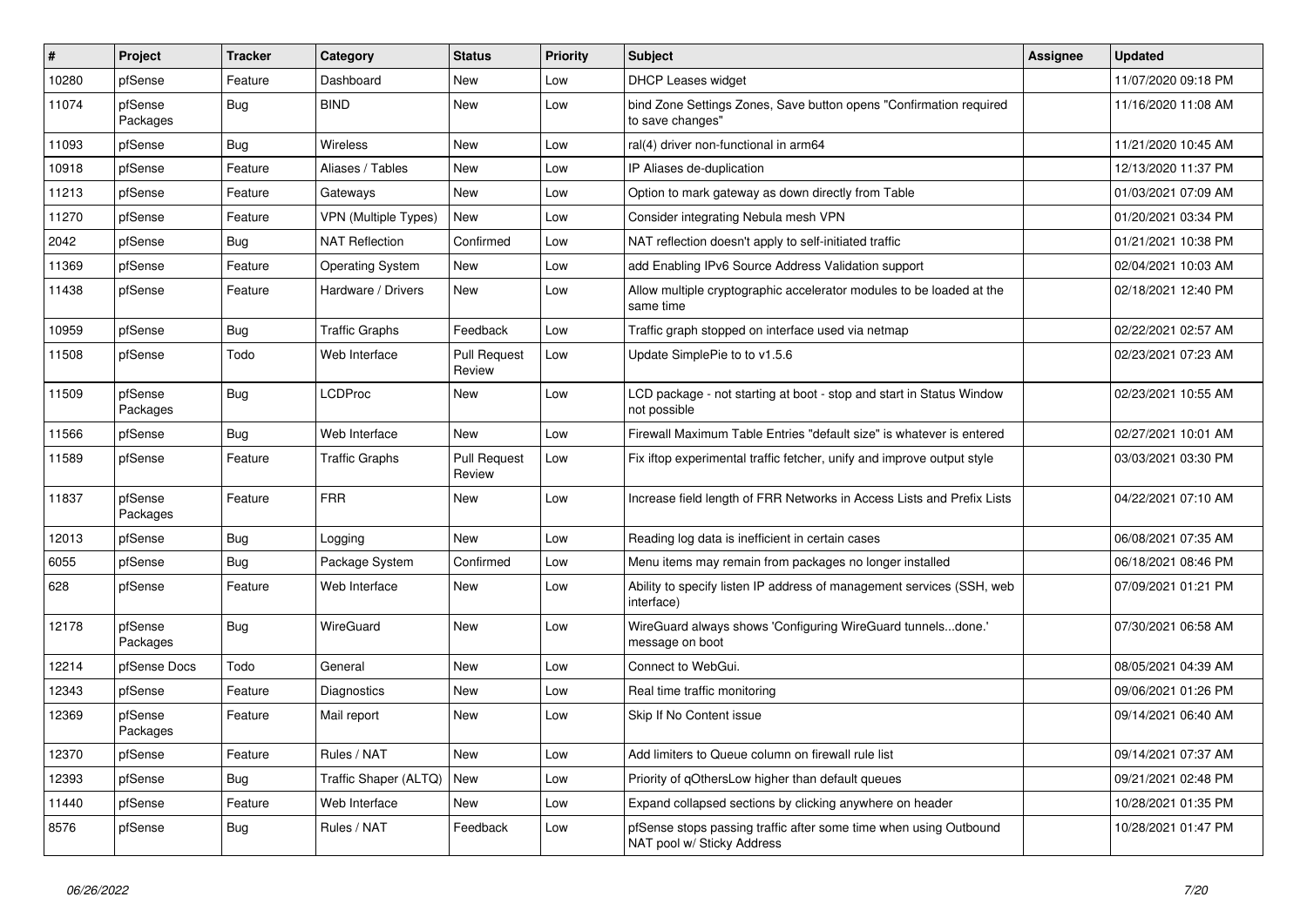| $\vert$ # | Project             | <b>Tracker</b> | Category                | <b>Status</b>                 | <b>Priority</b> | <b>Subject</b>                                                                                  | <b>Assignee</b> | <b>Updated</b>      |
|-----------|---------------------|----------------|-------------------------|-------------------------------|-----------------|-------------------------------------------------------------------------------------------------|-----------------|---------------------|
| 10280     | pfSense             | Feature        | Dashboard               | <b>New</b>                    | Low             | <b>DHCP Leases widget</b>                                                                       |                 | 11/07/2020 09:18 PM |
| 11074     | pfSense<br>Packages | Bug            | <b>BIND</b>             | <b>New</b>                    | Low             | bind Zone Settings Zones, Save button opens "Confirmation required<br>to save changes"          |                 | 11/16/2020 11:08 AM |
| 11093     | pfSense             | <b>Bug</b>     | Wireless                | <b>New</b>                    | Low             | ral(4) driver non-functional in arm64                                                           |                 | 11/21/2020 10:45 AM |
| 10918     | pfSense             | Feature        | Aliases / Tables        | <b>New</b>                    | Low             | IP Aliases de-duplication                                                                       |                 | 12/13/2020 11:37 PM |
| 11213     | pfSense             | Feature        | Gateways                | <b>New</b>                    | Low             | Option to mark gateway as down directly from Table                                              |                 | 01/03/2021 07:09 AM |
| 11270     | pfSense             | Feature        | VPN (Multiple Types)    | <b>New</b>                    | Low             | Consider integrating Nebula mesh VPN                                                            |                 | 01/20/2021 03:34 PM |
| 2042      | pfSense             | <b>Bug</b>     | <b>NAT Reflection</b>   | Confirmed                     | Low             | NAT reflection doesn't apply to self-initiated traffic                                          |                 | 01/21/2021 10:38 PM |
| 11369     | pfSense             | Feature        | <b>Operating System</b> | New                           | Low             | add Enabling IPv6 Source Address Validation support                                             |                 | 02/04/2021 10:03 AM |
| 11438     | pfSense             | Feature        | Hardware / Drivers      | New                           | Low             | Allow multiple cryptographic accelerator modules to be loaded at the<br>same time               |                 | 02/18/2021 12:40 PM |
| 10959     | pfSense             | Bug            | <b>Traffic Graphs</b>   | Feedback                      | Low             | Traffic graph stopped on interface used via netmap                                              |                 | 02/22/2021 02:57 AM |
| 11508     | pfSense             | Todo           | Web Interface           | <b>Pull Request</b><br>Review | Low             | Update SimplePie to to v1.5.6                                                                   |                 | 02/23/2021 07:23 AM |
| 11509     | pfSense<br>Packages | Bug            | LCDProc                 | <b>New</b>                    | Low             | LCD package - not starting at boot - stop and start in Status Window<br>not possible            |                 | 02/23/2021 10:55 AM |
| 11566     | pfSense             | Bug            | Web Interface           | New                           | Low             | Firewall Maximum Table Entries "default size" is whatever is entered                            |                 | 02/27/2021 10:01 AM |
| 11589     | pfSense             | Feature        | <b>Traffic Graphs</b>   | <b>Pull Request</b><br>Review | Low             | Fix iftop experimental traffic fetcher, unify and improve output style                          |                 | 03/03/2021 03:30 PM |
| 11837     | pfSense<br>Packages | Feature        | <b>FRR</b>              | New                           | Low             | Increase field length of FRR Networks in Access Lists and Prefix Lists                          |                 | 04/22/2021 07:10 AM |
| 12013     | pfSense             | <b>Bug</b>     | Logging                 | <b>New</b>                    | Low             | Reading log data is inefficient in certain cases                                                |                 | 06/08/2021 07:35 AM |
| 6055      | pfSense             | <b>Bug</b>     | Package System          | Confirmed                     | Low             | Menu items may remain from packages no longer installed                                         |                 | 06/18/2021 08:46 PM |
| 628       | pfSense             | Feature        | Web Interface           | New                           | Low             | Ability to specify listen IP address of management services (SSH, web<br>interface)             |                 | 07/09/2021 01:21 PM |
| 12178     | pfSense<br>Packages | Bug            | WireGuard               | New                           | Low             | WireGuard always shows 'Configuring WireGuard tunnelsdone.'<br>message on boot                  |                 | 07/30/2021 06:58 AM |
| 12214     | pfSense Docs        | Todo           | General                 | <b>New</b>                    | Low             | Connect to WebGui.                                                                              |                 | 08/05/2021 04:39 AM |
| 12343     | pfSense             | Feature        | Diagnostics             | <b>New</b>                    | Low             | Real time traffic monitoring                                                                    |                 | 09/06/2021 01:26 PM |
| 12369     | pfSense<br>Packages | Feature        | Mail report             | <b>New</b>                    | Low             | Skip If No Content issue                                                                        |                 | 09/14/2021 06:40 AM |
| 12370     | pfSense             | Feature        | Rules / NAT             | <b>New</b>                    | Low             | Add limiters to Queue column on firewall rule list                                              |                 | 09/14/2021 07:37 AM |
| 12393     | pfSense             | <b>Bug</b>     | Traffic Shaper (ALTQ)   | <b>New</b>                    | Low             | Priority of gOthersLow higher than default queues                                               |                 | 09/21/2021 02:48 PM |
| 11440     | pfSense             | Feature        | Web Interface           | <b>New</b>                    | Low             | Expand collapsed sections by clicking anywhere on header                                        |                 | 10/28/2021 01:35 PM |
| 8576      | pfSense             | Bug            | Rules / NAT             | Feedback                      | Low             | pfSense stops passing traffic after some time when using Outbound<br>NAT pool w/ Sticky Address |                 | 10/28/2021 01:47 PM |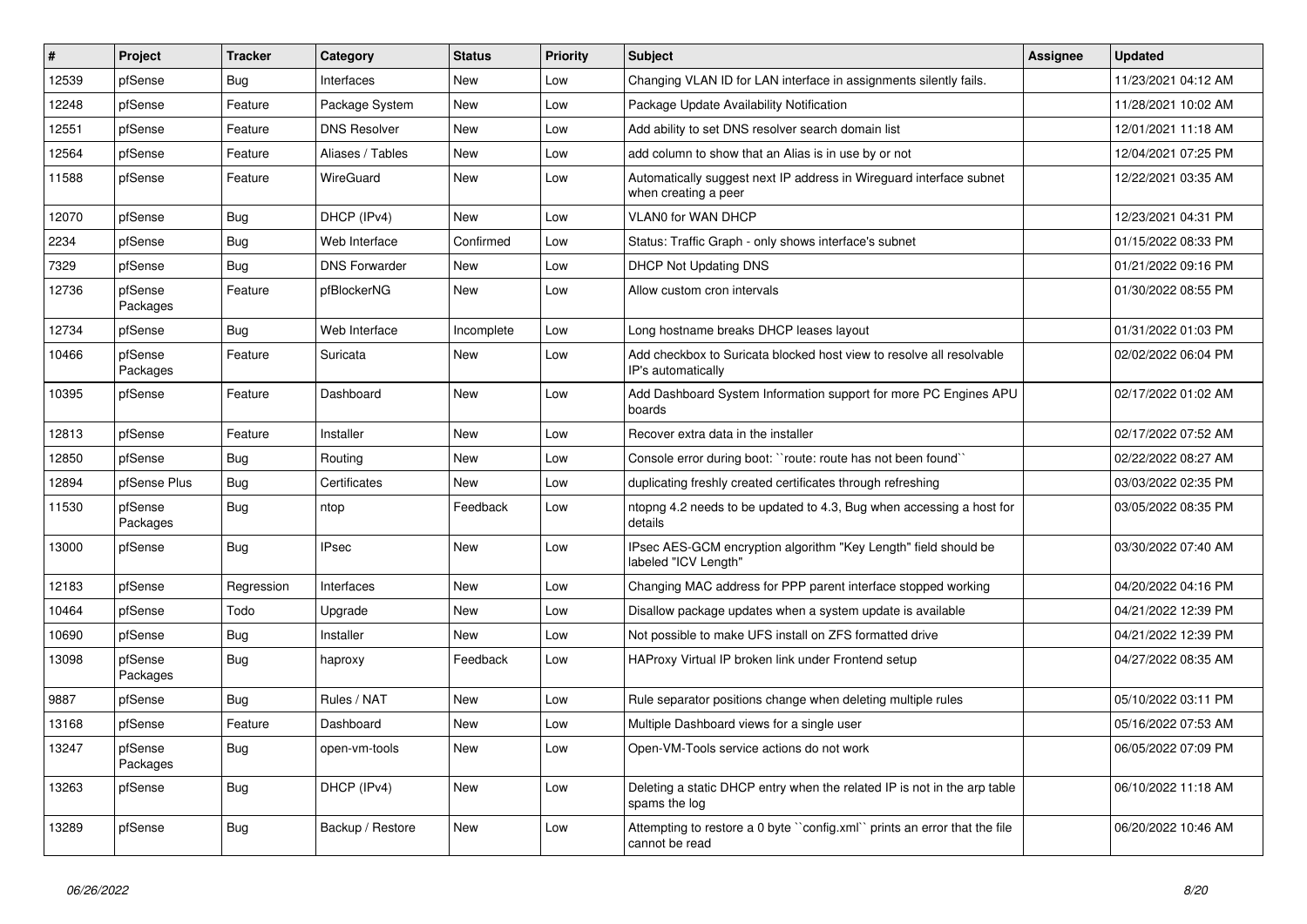| $\vert$ # | Project             | <b>Tracker</b> | Category             | <b>Status</b> | <b>Priority</b> | <b>Subject</b>                                                                              | Assignee | <b>Updated</b>      |
|-----------|---------------------|----------------|----------------------|---------------|-----------------|---------------------------------------------------------------------------------------------|----------|---------------------|
| 12539     | pfSense             | Bug            | Interfaces           | New           | Low             | Changing VLAN ID for LAN interface in assignments silently fails.                           |          | 11/23/2021 04:12 AM |
| 12248     | pfSense             | Feature        | Package System       | <b>New</b>    | Low             | Package Update Availability Notification                                                    |          | 11/28/2021 10:02 AM |
| 12551     | pfSense             | Feature        | <b>DNS Resolver</b>  | <b>New</b>    | Low             | Add ability to set DNS resolver search domain list                                          |          | 12/01/2021 11:18 AM |
| 12564     | pfSense             | Feature        | Aliases / Tables     | <b>New</b>    | Low             | add column to show that an Alias is in use by or not                                        |          | 12/04/2021 07:25 PM |
| 11588     | pfSense             | Feature        | <b>WireGuard</b>     | <b>New</b>    | Low             | Automatically suggest next IP address in Wireguard interface subnet<br>when creating a peer |          | 12/22/2021 03:35 AM |
| 12070     | pfSense             | Bug            | DHCP (IPv4)          | <b>New</b>    | Low             | VLAN0 for WAN DHCP                                                                          |          | 12/23/2021 04:31 PM |
| 2234      | pfSense             | <b>Bug</b>     | Web Interface        | Confirmed     | Low             | Status: Traffic Graph - only shows interface's subnet                                       |          | 01/15/2022 08:33 PM |
| 7329      | pfSense             | Bug            | <b>DNS Forwarder</b> | <b>New</b>    | Low             | <b>DHCP Not Updating DNS</b>                                                                |          | 01/21/2022 09:16 PM |
| 12736     | pfSense<br>Packages | Feature        | pfBlockerNG          | New           | Low             | Allow custom cron intervals                                                                 |          | 01/30/2022 08:55 PM |
| 12734     | pfSense             | Bug            | Web Interface        | Incomplete    | Low             | Long hostname breaks DHCP leases layout                                                     |          | 01/31/2022 01:03 PM |
| 10466     | pfSense<br>Packages | Feature        | Suricata             | New           | Low             | Add checkbox to Suricata blocked host view to resolve all resolvable<br>IP's automatically  |          | 02/02/2022 06:04 PM |
| 10395     | pfSense             | Feature        | Dashboard            | <b>New</b>    | Low             | Add Dashboard System Information support for more PC Engines APU<br>boards                  |          | 02/17/2022 01:02 AM |
| 12813     | pfSense             | Feature        | Installer            | <b>New</b>    | Low             | Recover extra data in the installer                                                         |          | 02/17/2022 07:52 AM |
| 12850     | pfSense             | <b>Bug</b>     | Routing              | <b>New</b>    | Low             | Console error during boot: ``route: route has not been found``                              |          | 02/22/2022 08:27 AM |
| 12894     | pfSense Plus        | <b>Bug</b>     | Certificates         | <b>New</b>    | Low             | duplicating freshly created certificates through refreshing                                 |          | 03/03/2022 02:35 PM |
| 11530     | pfSense<br>Packages | <b>Bug</b>     | ntop                 | Feedback      | Low             | ntopng 4.2 needs to be updated to 4.3, Bug when accessing a host for<br>details             |          | 03/05/2022 08:35 PM |
| 13000     | pfSense             | <b>Bug</b>     | <b>IPsec</b>         | <b>New</b>    | Low             | IPsec AES-GCM encryption algorithm "Key Length" field should be<br>labeled "ICV Length"     |          | 03/30/2022 07:40 AM |
| 12183     | pfSense             | Regression     | Interfaces           | New           | Low             | Changing MAC address for PPP parent interface stopped working                               |          | 04/20/2022 04:16 PM |
| 10464     | pfSense             | Todo           | Upgrade              | New           | Low             | Disallow package updates when a system update is available                                  |          | 04/21/2022 12:39 PM |
| 10690     | pfSense             | Bug            | Installer            | <b>New</b>    | Low             | Not possible to make UFS install on ZFS formatted drive                                     |          | 04/21/2022 12:39 PM |
| 13098     | pfSense<br>Packages | <b>Bug</b>     | haproxy              | Feedback      | Low             | HAProxy Virtual IP broken link under Frontend setup                                         |          | 04/27/2022 08:35 AM |
| 9887      | pfSense             | Bug            | Rules / NAT          | <b>New</b>    | Low             | Rule separator positions change when deleting multiple rules                                |          | 05/10/2022 03:11 PM |
| 13168     | pfSense             | Feature        | Dashboard            | <b>New</b>    | Low             | Multiple Dashboard views for a single user                                                  |          | 05/16/2022 07:53 AM |
| 13247     | pfSense<br>Packages | <b>Bug</b>     | open-vm-tools        | <b>New</b>    | Low             | Open-VM-Tools service actions do not work                                                   |          | 06/05/2022 07:09 PM |
| 13263     | pfSense             | Bug            | DHCP (IPv4)          | New           | Low             | Deleting a static DHCP entry when the related IP is not in the arp table<br>spams the log   |          | 06/10/2022 11:18 AM |
| 13289     | pfSense             | <b>Bug</b>     | Backup / Restore     | <b>New</b>    | Low             | Attempting to restore a 0 byte "config.xml" prints an error that the file<br>cannot be read |          | 06/20/2022 10:46 AM |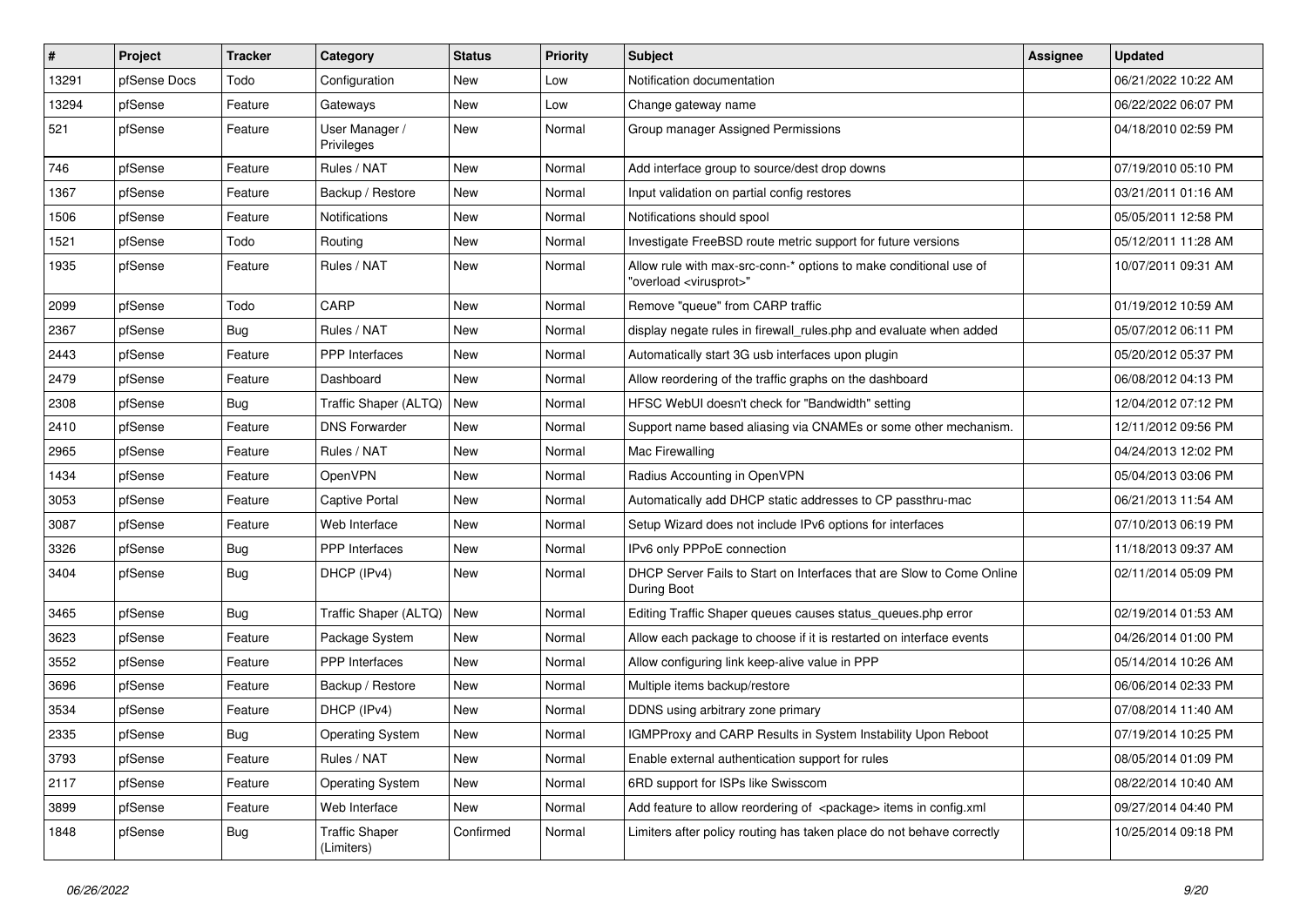| #     | Project      | <b>Tracker</b> | Category                            | <b>Status</b> | <b>Priority</b> | <b>Subject</b>                                                                                          | <b>Assignee</b> | <b>Updated</b>      |
|-------|--------------|----------------|-------------------------------------|---------------|-----------------|---------------------------------------------------------------------------------------------------------|-----------------|---------------------|
| 13291 | pfSense Docs | Todo           | Configuration                       | <b>New</b>    | Low             | Notification documentation                                                                              |                 | 06/21/2022 10:22 AM |
| 13294 | pfSense      | Feature        | Gateways                            | New           | Low             | Change gateway name                                                                                     |                 | 06/22/2022 06:07 PM |
| 521   | pfSense      | Feature        | User Manager /<br>Privileges        | New           | Normal          | Group manager Assigned Permissions                                                                      |                 | 04/18/2010 02:59 PM |
| 746   | pfSense      | Feature        | Rules / NAT                         | <b>New</b>    | Normal          | Add interface group to source/dest drop downs                                                           |                 | 07/19/2010 05:10 PM |
| 1367  | pfSense      | Feature        | Backup / Restore                    | New           | Normal          | Input validation on partial config restores                                                             |                 | 03/21/2011 01:16 AM |
| 1506  | pfSense      | Feature        | Notifications                       | New           | Normal          | Notifications should spool                                                                              |                 | 05/05/2011 12:58 PM |
| 1521  | pfSense      | Todo           | Routing                             | <b>New</b>    | Normal          | Investigate FreeBSD route metric support for future versions                                            |                 | 05/12/2011 11:28 AM |
| 1935  | pfSense      | Feature        | Rules / NAT                         | New           | Normal          | Allow rule with max-src-conn-* options to make conditional use of<br>"overload <virusprot>"</virusprot> |                 | 10/07/2011 09:31 AM |
| 2099  | pfSense      | Todo           | CARP                                | <b>New</b>    | Normal          | Remove "queue" from CARP traffic                                                                        |                 | 01/19/2012 10:59 AM |
| 2367  | pfSense      | Bug            | Rules / NAT                         | <b>New</b>    | Normal          | display negate rules in firewall rules.php and evaluate when added                                      |                 | 05/07/2012 06:11 PM |
| 2443  | pfSense      | Feature        | <b>PPP</b> Interfaces               | New           | Normal          | Automatically start 3G usb interfaces upon plugin                                                       |                 | 05/20/2012 05:37 PM |
| 2479  | pfSense      | Feature        | Dashboard                           | <b>New</b>    | Normal          | Allow reordering of the traffic graphs on the dashboard                                                 |                 | 06/08/2012 04:13 PM |
| 2308  | pfSense      | <b>Bug</b>     | Traffic Shaper (ALTQ)               | New           | Normal          | HFSC WebUI doesn't check for "Bandwidth" setting                                                        |                 | 12/04/2012 07:12 PM |
| 2410  | pfSense      | Feature        | <b>DNS Forwarder</b>                | New           | Normal          | Support name based aliasing via CNAMEs or some other mechanism.                                         |                 | 12/11/2012 09:56 PM |
| 2965  | pfSense      | Feature        | Rules / NAT                         | <b>New</b>    | Normal          | Mac Firewalling                                                                                         |                 | 04/24/2013 12:02 PM |
| 1434  | pfSense      | Feature        | OpenVPN                             | <b>New</b>    | Normal          | Radius Accounting in OpenVPN                                                                            |                 | 05/04/2013 03:06 PM |
| 3053  | pfSense      | Feature        | Captive Portal                      | New           | Normal          | Automatically add DHCP static addresses to CP passthru-mac                                              |                 | 06/21/2013 11:54 AM |
| 3087  | pfSense      | Feature        | Web Interface                       | <b>New</b>    | Normal          | Setup Wizard does not include IPv6 options for interfaces                                               |                 | 07/10/2013 06:19 PM |
| 3326  | pfSense      | Bug            | <b>PPP</b> Interfaces               | New           | Normal          | IPv6 only PPPoE connection                                                                              |                 | 11/18/2013 09:37 AM |
| 3404  | pfSense      | <b>Bug</b>     | DHCP (IPv4)                         | New           | Normal          | DHCP Server Fails to Start on Interfaces that are Slow to Come Online<br>During Boot                    |                 | 02/11/2014 05:09 PM |
| 3465  | pfSense      | Bug            | Traffic Shaper (ALTQ)               | l New         | Normal          | Editing Traffic Shaper queues causes status_queues.php error                                            |                 | 02/19/2014 01:53 AM |
| 3623  | pfSense      | Feature        | Package System                      | <b>New</b>    | Normal          | Allow each package to choose if it is restarted on interface events                                     |                 | 04/26/2014 01:00 PM |
| 3552  | pfSense      | Feature        | <b>PPP</b> Interfaces               | <b>New</b>    | Normal          | Allow configuring link keep-alive value in PPP                                                          |                 | 05/14/2014 10:26 AM |
| 3696  | pfSense      | Feature        | Backup / Restore                    | <b>New</b>    | Normal          | Multiple items backup/restore                                                                           |                 | 06/06/2014 02:33 PM |
| 3534  | pfSense      | Feature        | DHCP (IPv4)                         | <b>New</b>    | Normal          | DDNS using arbitrary zone primary                                                                       |                 | 07/08/2014 11:40 AM |
| 2335  | pfSense      | Bug            | <b>Operating System</b>             | <b>New</b>    | Normal          | IGMPProxy and CARP Results in System Instability Upon Reboot                                            |                 | 07/19/2014 10:25 PM |
| 3793  | pfSense      | Feature        | Rules / NAT                         | <b>New</b>    | Normal          | Enable external authentication support for rules                                                        |                 | 08/05/2014 01:09 PM |
| 2117  | pfSense      | Feature        | <b>Operating System</b>             | New           | Normal          | 6RD support for ISPs like Swisscom                                                                      |                 | 08/22/2014 10:40 AM |
| 3899  | pfSense      | Feature        | Web Interface                       | <b>New</b>    | Normal          | Add feature to allow reordering of <package> items in config.xml</package>                              |                 | 09/27/2014 04:40 PM |
| 1848  | pfSense      | Bug            | <b>Traffic Shaper</b><br>(Limiters) | Confirmed     | Normal          | Limiters after policy routing has taken place do not behave correctly                                   |                 | 10/25/2014 09:18 PM |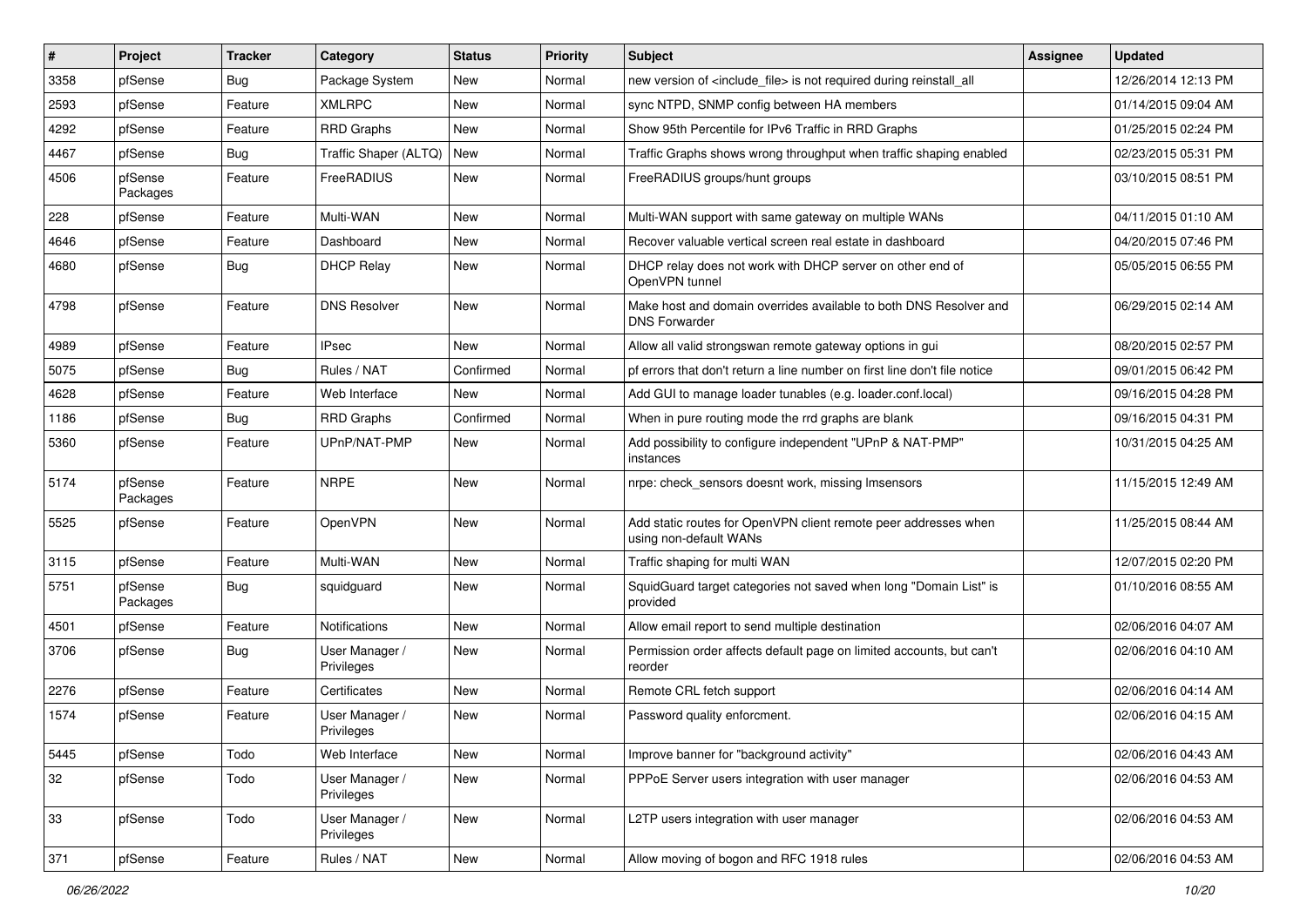| #    | Project             | <b>Tracker</b> | Category                     | <b>Status</b> | <b>Priority</b> | Subject                                                                                   | <b>Assignee</b> | <b>Updated</b>      |
|------|---------------------|----------------|------------------------------|---------------|-----------------|-------------------------------------------------------------------------------------------|-----------------|---------------------|
| 3358 | pfSense             | <b>Bug</b>     | Package System               | <b>New</b>    | Normal          | new version of <include_file> is not required during reinstall_all</include_file>         |                 | 12/26/2014 12:13 PM |
| 2593 | pfSense             | Feature        | <b>XMLRPC</b>                | New           | Normal          | sync NTPD, SNMP config between HA members                                                 |                 | 01/14/2015 09:04 AM |
| 4292 | pfSense             | Feature        | <b>RRD Graphs</b>            | New           | Normal          | Show 95th Percentile for IPv6 Traffic in RRD Graphs                                       |                 | 01/25/2015 02:24 PM |
| 4467 | pfSense             | Bug            | Traffic Shaper (ALTQ)        | New           | Normal          | Traffic Graphs shows wrong throughput when traffic shaping enabled                        |                 | 02/23/2015 05:31 PM |
| 4506 | pfSense<br>Packages | Feature        | FreeRADIUS                   | New           | Normal          | FreeRADIUS groups/hunt groups                                                             |                 | 03/10/2015 08:51 PM |
| 228  | pfSense             | Feature        | Multi-WAN                    | New           | Normal          | Multi-WAN support with same gateway on multiple WANs                                      |                 | 04/11/2015 01:10 AM |
| 4646 | pfSense             | Feature        | Dashboard                    | New           | Normal          | Recover valuable vertical screen real estate in dashboard                                 |                 | 04/20/2015 07:46 PM |
| 4680 | pfSense             | Bug            | <b>DHCP Relay</b>            | New           | Normal          | DHCP relay does not work with DHCP server on other end of<br>OpenVPN tunnel               |                 | 05/05/2015 06:55 PM |
| 4798 | pfSense             | Feature        | <b>DNS Resolver</b>          | New           | Normal          | Make host and domain overrides available to both DNS Resolver and<br><b>DNS Forwarder</b> |                 | 06/29/2015 02:14 AM |
| 4989 | pfSense             | Feature        | <b>IPsec</b>                 | <b>New</b>    | Normal          | Allow all valid strongswan remote gateway options in gui                                  |                 | 08/20/2015 02:57 PM |
| 5075 | pfSense             | Bug            | Rules / NAT                  | Confirmed     | Normal          | pf errors that don't return a line number on first line don't file notice                 |                 | 09/01/2015 06:42 PM |
| 4628 | pfSense             | Feature        | Web Interface                | <b>New</b>    | Normal          | Add GUI to manage loader tunables (e.g. loader.conf.local)                                |                 | 09/16/2015 04:28 PM |
| 1186 | pfSense             | <b>Bug</b>     | <b>RRD Graphs</b>            | Confirmed     | Normal          | When in pure routing mode the rrd graphs are blank                                        |                 | 09/16/2015 04:31 PM |
| 5360 | pfSense             | Feature        | UPnP/NAT-PMP                 | New           | Normal          | Add possibility to configure independent "UPnP & NAT-PMP"<br>instances                    |                 | 10/31/2015 04:25 AM |
| 5174 | pfSense<br>Packages | Feature        | <b>NRPE</b>                  | New           | Normal          | nrpe: check_sensors doesnt work, missing Imsensors                                        |                 | 11/15/2015 12:49 AM |
| 5525 | pfSense             | Feature        | OpenVPN                      | New           | Normal          | Add static routes for OpenVPN client remote peer addresses when<br>using non-default WANs |                 | 11/25/2015 08:44 AM |
| 3115 | pfSense             | Feature        | Multi-WAN                    | New           | Normal          | Traffic shaping for multi WAN                                                             |                 | 12/07/2015 02:20 PM |
| 5751 | pfSense<br>Packages | Bug            | squidguard                   | New           | Normal          | SquidGuard target categories not saved when long "Domain List" is<br>provided             |                 | 01/10/2016 08:55 AM |
| 4501 | pfSense             | Feature        | <b>Notifications</b>         | New           | Normal          | Allow email report to send multiple destination                                           |                 | 02/06/2016 04:07 AM |
| 3706 | pfSense             | Bug            | User Manager /<br>Privileges | New           | Normal          | Permission order affects default page on limited accounts, but can't<br>reorder           |                 | 02/06/2016 04:10 AM |
| 2276 | pfSense             | Feature        | Certificates                 | New           | Normal          | Remote CRL fetch support                                                                  |                 | 02/06/2016 04:14 AM |
| 1574 | pfSense             | Feature        | User Manager /<br>Privileges | New           | Normal          | Password quality enforcment.                                                              |                 | 02/06/2016 04:15 AM |
| 5445 | pfSense             | Todo           | Web Interface                | New           | Normal          | Improve banner for "background activity"                                                  |                 | 02/06/2016 04:43 AM |
| 32   | pfSense             | Todo           | User Manager /<br>Privileges | New           | Normal          | PPPoE Server users integration with user manager                                          |                 | 02/06/2016 04:53 AM |
| 33   | pfSense             | Todo           | User Manager /<br>Privileges | New           | Normal          | L2TP users integration with user manager                                                  |                 | 02/06/2016 04:53 AM |
| 371  | pfSense             | Feature        | Rules / NAT                  | New           | Normal          | Allow moving of bogon and RFC 1918 rules                                                  |                 | 02/06/2016 04:53 AM |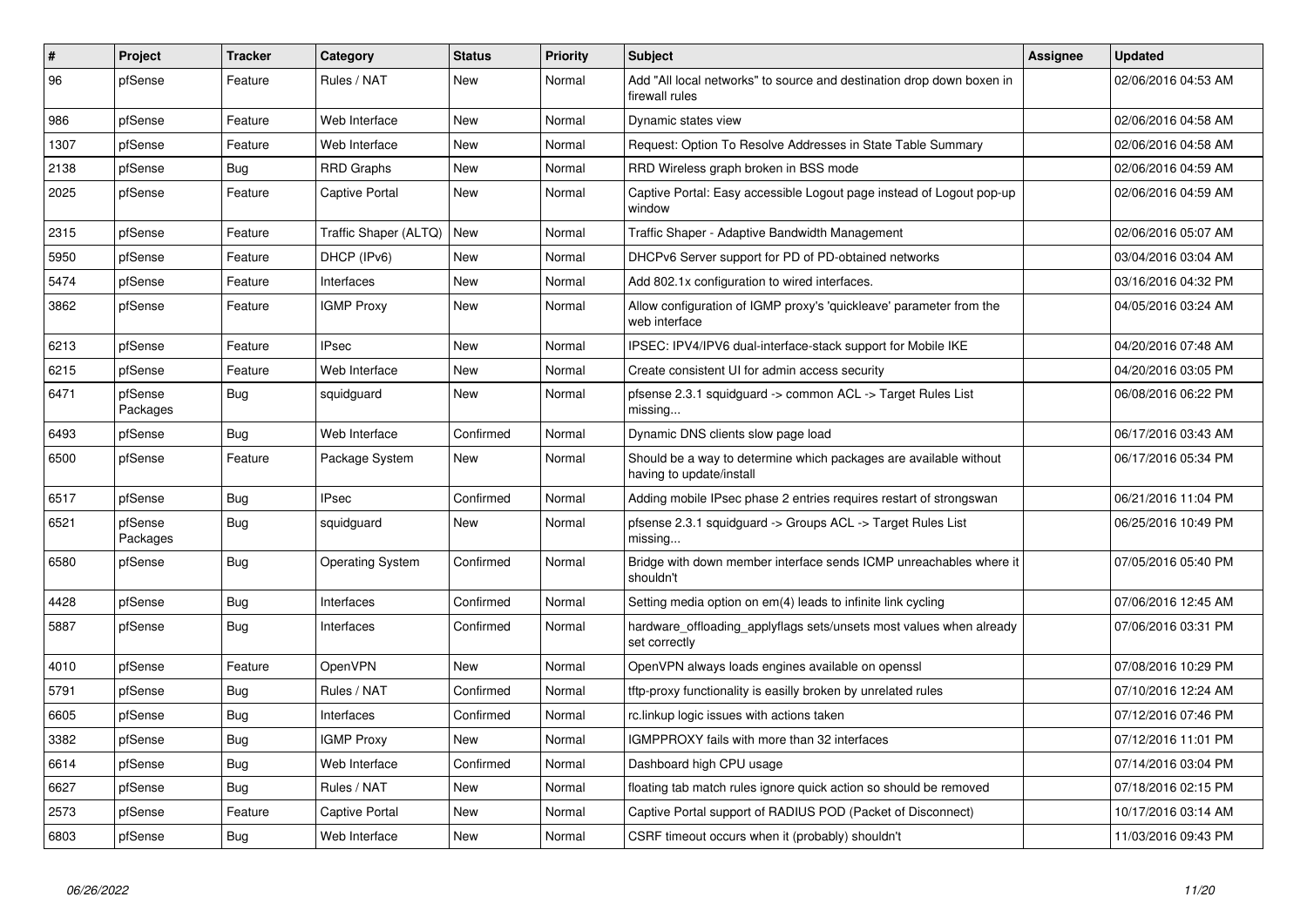| $\vert$ # | <b>Project</b>      | <b>Tracker</b> | Category                | <b>Status</b> | <b>Priority</b> | <b>Subject</b>                                                                                | <b>Assignee</b> | <b>Updated</b>      |
|-----------|---------------------|----------------|-------------------------|---------------|-----------------|-----------------------------------------------------------------------------------------------|-----------------|---------------------|
| 96        | pfSense             | Feature        | Rules / NAT             | New           | Normal          | Add "All local networks" to source and destination drop down boxen in<br>firewall rules       |                 | 02/06/2016 04:53 AM |
| 986       | pfSense             | Feature        | Web Interface           | New           | Normal          | Dynamic states view                                                                           |                 | 02/06/2016 04:58 AM |
| 1307      | pfSense             | Feature        | Web Interface           | <b>New</b>    | Normal          | Request: Option To Resolve Addresses in State Table Summary                                   |                 | 02/06/2016 04:58 AM |
| 2138      | pfSense             | <b>Bug</b>     | <b>RRD Graphs</b>       | New           | Normal          | RRD Wireless graph broken in BSS mode                                                         |                 | 02/06/2016 04:59 AM |
| 2025      | pfSense             | Feature        | <b>Captive Portal</b>   | New           | Normal          | Captive Portal: Easy accessible Logout page instead of Logout pop-up<br>window                |                 | 02/06/2016 04:59 AM |
| 2315      | pfSense             | Feature        | Traffic Shaper (ALTQ)   | New           | Normal          | Traffic Shaper - Adaptive Bandwidth Management                                                |                 | 02/06/2016 05:07 AM |
| 5950      | pfSense             | Feature        | DHCP (IPv6)             | New           | Normal          | DHCPv6 Server support for PD of PD-obtained networks                                          |                 | 03/04/2016 03:04 AM |
| 5474      | pfSense             | Feature        | Interfaces              | New           | Normal          | Add 802.1x configuration to wired interfaces.                                                 |                 | 03/16/2016 04:32 PM |
| 3862      | pfSense             | Feature        | <b>IGMP Proxy</b>       | <b>New</b>    | Normal          | Allow configuration of IGMP proxy's 'quickleave' parameter from the<br>web interface          |                 | 04/05/2016 03:24 AM |
| 6213      | pfSense             | Feature        | <b>IPsec</b>            | <b>New</b>    | Normal          | IPSEC: IPV4/IPV6 dual-interface-stack support for Mobile IKE                                  |                 | 04/20/2016 07:48 AM |
| 6215      | pfSense             | Feature        | Web Interface           | New           | Normal          | Create consistent UI for admin access security                                                |                 | 04/20/2016 03:05 PM |
| 6471      | pfSense<br>Packages | Bug            | squidguard              | New           | Normal          | pfsense 2.3.1 squidguard -> common ACL -> Target Rules List<br>missing                        |                 | 06/08/2016 06:22 PM |
| 6493      | pfSense             | Bug            | Web Interface           | Confirmed     | Normal          | Dynamic DNS clients slow page load                                                            |                 | 06/17/2016 03:43 AM |
| 6500      | pfSense             | Feature        | Package System          | New           | Normal          | Should be a way to determine which packages are available without<br>having to update/install |                 | 06/17/2016 05:34 PM |
| 6517      | pfSense             | Bug            | <b>IPsec</b>            | Confirmed     | Normal          | Adding mobile IPsec phase 2 entries requires restart of strongswan                            |                 | 06/21/2016 11:04 PM |
| 6521      | pfSense<br>Packages | Bug            | squidguard              | <b>New</b>    | Normal          | pfsense 2.3.1 squidguard -> Groups ACL -> Target Rules List<br>missing                        |                 | 06/25/2016 10:49 PM |
| 6580      | pfSense             | Bug            | <b>Operating System</b> | Confirmed     | Normal          | Bridge with down member interface sends ICMP unreachables where it<br>shouldn't               |                 | 07/05/2016 05:40 PM |
| 4428      | pfSense             | <b>Bug</b>     | Interfaces              | Confirmed     | Normal          | Setting media option on em(4) leads to infinite link cycling                                  |                 | 07/06/2016 12:45 AM |
| 5887      | pfSense             | <b>Bug</b>     | Interfaces              | Confirmed     | Normal          | hardware offloading applyflags sets/unsets most values when already<br>set correctly          |                 | 07/06/2016 03:31 PM |
| 4010      | pfSense             | Feature        | OpenVPN                 | <b>New</b>    | Normal          | OpenVPN always loads engines available on openssl                                             |                 | 07/08/2016 10:29 PM |
| 5791      | pfSense             | Bug            | Rules / NAT             | Confirmed     | Normal          | tftp-proxy functionality is easilly broken by unrelated rules                                 |                 | 07/10/2016 12:24 AM |
| 6605      | pfSense             | <b>Bug</b>     | Interfaces              | Confirmed     | Normal          | rc.linkup logic issues with actions taken                                                     |                 | 07/12/2016 07:46 PM |
| 3382      | pfSense             | <b>Bug</b>     | <b>IGMP Proxy</b>       | New           | Normal          | IGMPPROXY fails with more than 32 interfaces                                                  |                 | 07/12/2016 11:01 PM |
| 6614      | pfSense             | <b>Bug</b>     | Web Interface           | Confirmed     | Normal          | Dashboard high CPU usage                                                                      |                 | 07/14/2016 03:04 PM |
| 6627      | pfSense             | <b>Bug</b>     | Rules / NAT             | New           | Normal          | floating tab match rules ignore quick action so should be removed                             |                 | 07/18/2016 02:15 PM |
| 2573      | pfSense             | Feature        | Captive Portal          | New           | Normal          | Captive Portal support of RADIUS POD (Packet of Disconnect)                                   |                 | 10/17/2016 03:14 AM |
| 6803      | pfSense             | Bug            | Web Interface           | New           | Normal          | CSRF timeout occurs when it (probably) shouldn't                                              |                 | 11/03/2016 09:43 PM |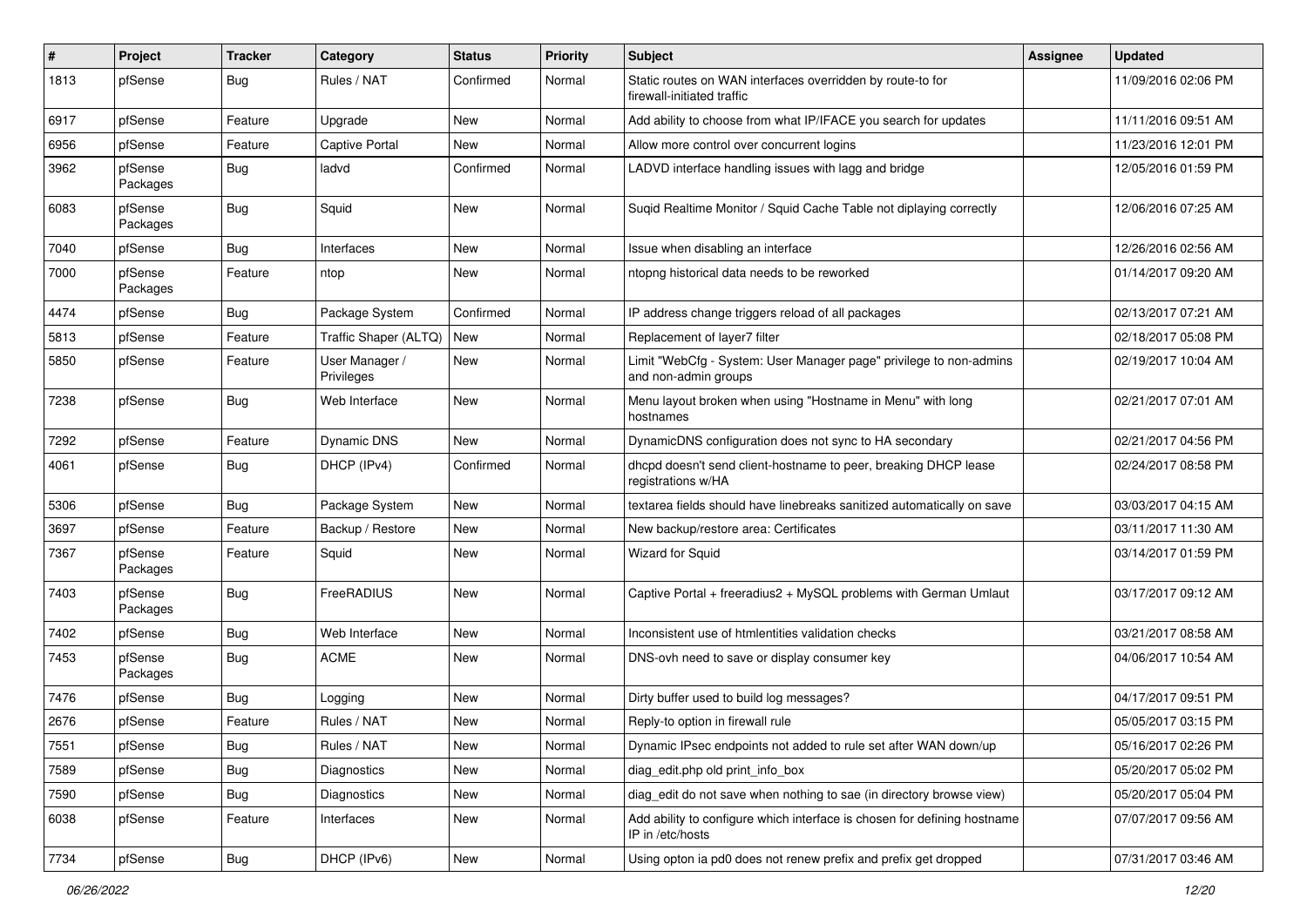| #    | Project             | <b>Tracker</b> | Category                     | <b>Status</b> | <b>Priority</b> | <b>Subject</b>                                                                               | <b>Assignee</b> | <b>Updated</b>      |
|------|---------------------|----------------|------------------------------|---------------|-----------------|----------------------------------------------------------------------------------------------|-----------------|---------------------|
| 1813 | pfSense             | Bug            | Rules / NAT                  | Confirmed     | Normal          | Static routes on WAN interfaces overridden by route-to for<br>firewall-initiated traffic     |                 | 11/09/2016 02:06 PM |
| 6917 | pfSense             | Feature        | Upgrade                      | New           | Normal          | Add ability to choose from what IP/IFACE you search for updates                              |                 | 11/11/2016 09:51 AM |
| 6956 | pfSense             | Feature        | <b>Captive Portal</b>        | New           | Normal          | Allow more control over concurrent logins                                                    |                 | 11/23/2016 12:01 PM |
| 3962 | pfSense<br>Packages | Bug            | ladvd                        | Confirmed     | Normal          | LADVD interface handling issues with lagg and bridge                                         |                 | 12/05/2016 01:59 PM |
| 6083 | pfSense<br>Packages | Bug            | Squid                        | New           | Normal          | Suqid Realtime Monitor / Squid Cache Table not diplaying correctly                           |                 | 12/06/2016 07:25 AM |
| 7040 | pfSense             | Bug            | Interfaces                   | <b>New</b>    | Normal          | Issue when disabling an interface                                                            |                 | 12/26/2016 02:56 AM |
| 7000 | pfSense<br>Packages | Feature        | ntop                         | New           | Normal          | ntopng historical data needs to be reworked                                                  |                 | 01/14/2017 09:20 AM |
| 4474 | pfSense             | <b>Bug</b>     | Package System               | Confirmed     | Normal          | IP address change triggers reload of all packages                                            |                 | 02/13/2017 07:21 AM |
| 5813 | pfSense             | Feature        | Traffic Shaper (ALTQ)        | New           | Normal          | Replacement of layer7 filter                                                                 |                 | 02/18/2017 05:08 PM |
| 5850 | pfSense             | Feature        | User Manager /<br>Privileges | New           | Normal          | Limit "WebCfg - System: User Manager page" privilege to non-admins<br>and non-admin groups   |                 | 02/19/2017 10:04 AM |
| 7238 | pfSense             | Bug            | Web Interface                | <b>New</b>    | Normal          | Menu layout broken when using "Hostname in Menu" with long<br>hostnames                      |                 | 02/21/2017 07:01 AM |
| 7292 | pfSense             | Feature        | <b>Dynamic DNS</b>           | <b>New</b>    | Normal          | DynamicDNS configuration does not sync to HA secondary                                       |                 | 02/21/2017 04:56 PM |
| 4061 | pfSense             | Bug            | DHCP (IPv4)                  | Confirmed     | Normal          | dhcpd doesn't send client-hostname to peer, breaking DHCP lease<br>registrations w/HA        |                 | 02/24/2017 08:58 PM |
| 5306 | pfSense             | Bug            | Package System               | New           | Normal          | textarea fields should have linebreaks sanitized automatically on save                       |                 | 03/03/2017 04:15 AM |
| 3697 | pfSense             | Feature        | Backup / Restore             | New           | Normal          | New backup/restore area: Certificates                                                        |                 | 03/11/2017 11:30 AM |
| 7367 | pfSense<br>Packages | Feature        | Squid                        | New           | Normal          | <b>Wizard for Squid</b>                                                                      |                 | 03/14/2017 01:59 PM |
| 7403 | pfSense<br>Packages | Bug            | FreeRADIUS                   | New           | Normal          | Captive Portal + freeradius2 + MySQL problems with German Umlaut                             |                 | 03/17/2017 09:12 AM |
| 7402 | pfSense             | Bug            | Web Interface                | <b>New</b>    | Normal          | Inconsistent use of htmlentities validation checks                                           |                 | 03/21/2017 08:58 AM |
| 7453 | pfSense<br>Packages | Bug            | <b>ACME</b>                  | New           | Normal          | DNS-ovh need to save or display consumer key                                                 |                 | 04/06/2017 10:54 AM |
| 7476 | pfSense             | <b>Bug</b>     | Logging                      | <b>New</b>    | Normal          | Dirty buffer used to build log messages?                                                     |                 | 04/17/2017 09:51 PM |
| 2676 | pfSense             | Feature        | Rules / NAT                  | <b>New</b>    | Normal          | Reply-to option in firewall rule                                                             |                 | 05/05/2017 03:15 PM |
| 7551 | pfSense             | <b>Bug</b>     | Rules / NAT                  | New           | Normal          | Dynamic IPsec endpoints not added to rule set after WAN down/up                              |                 | 05/16/2017 02:26 PM |
| 7589 | pfSense             | <b>Bug</b>     | Diagnostics                  | New           | Normal          | diag edit.php old print info box                                                             |                 | 05/20/2017 05:02 PM |
| 7590 | pfSense             | <b>Bug</b>     | Diagnostics                  | New           | Normal          | diag edit do not save when nothing to sae (in directory browse view)                         |                 | 05/20/2017 05:04 PM |
| 6038 | pfSense             | Feature        | Interfaces                   | New           | Normal          | Add ability to configure which interface is chosen for defining hostname<br>IP in /etc/hosts |                 | 07/07/2017 09:56 AM |
| 7734 | pfSense             | <b>Bug</b>     | DHCP (IPv6)                  | New           | Normal          | Using opton ia pd0 does not renew prefix and prefix get dropped                              |                 | 07/31/2017 03:46 AM |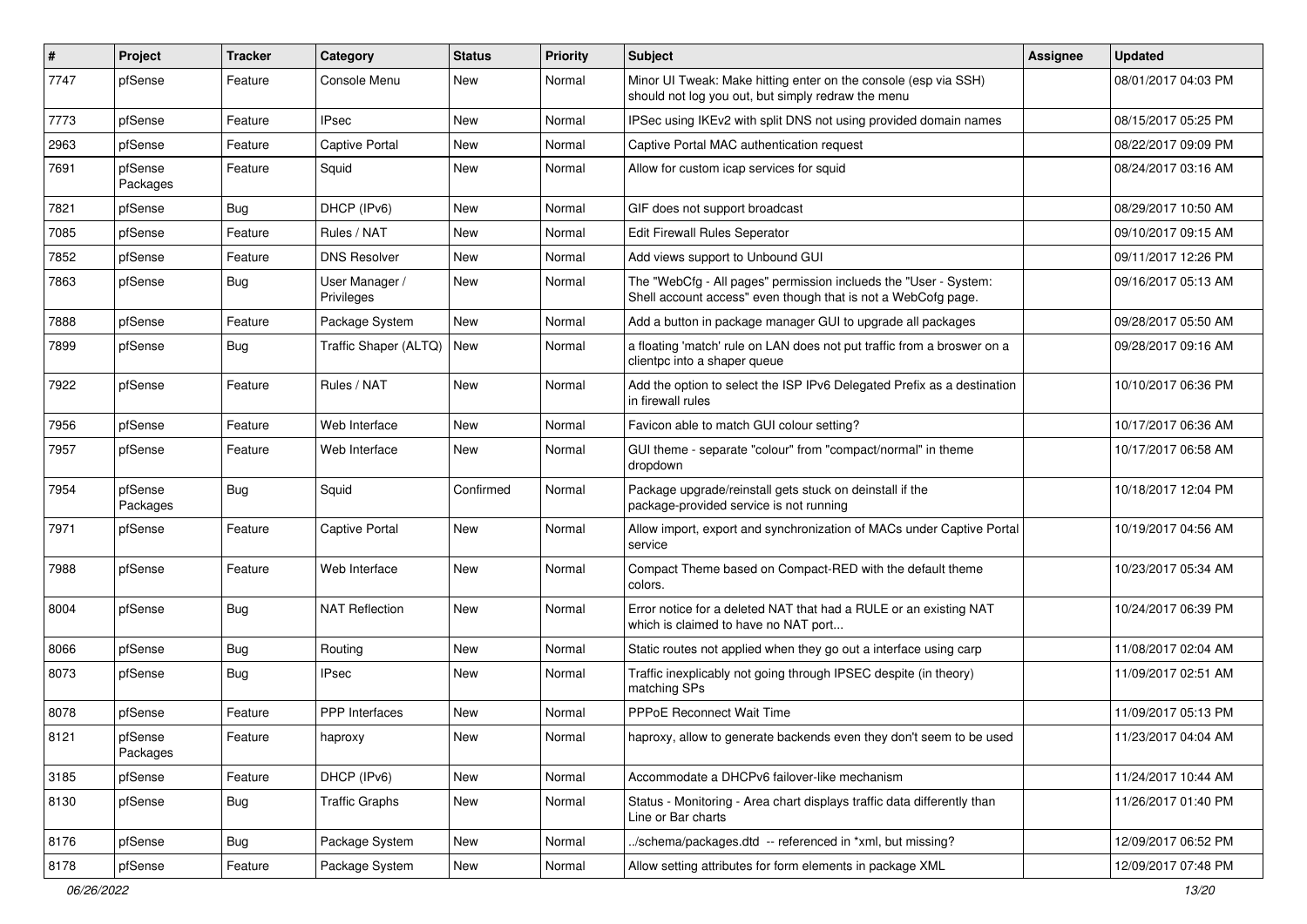| $\sharp$ | Project             | <b>Tracker</b> | Category                     | <b>Status</b> | <b>Priority</b> | <b>Subject</b>                                                                                                                    | <b>Assignee</b> | <b>Updated</b>      |
|----------|---------------------|----------------|------------------------------|---------------|-----------------|-----------------------------------------------------------------------------------------------------------------------------------|-----------------|---------------------|
| 7747     | pfSense             | Feature        | Console Menu                 | New           | Normal          | Minor UI Tweak: Make hitting enter on the console (esp via SSH)<br>should not log you out, but simply redraw the menu             |                 | 08/01/2017 04:03 PM |
| 7773     | pfSense             | Feature        | IPsec                        | New           | Normal          | IPSec using IKEv2 with split DNS not using provided domain names                                                                  |                 | 08/15/2017 05:25 PM |
| 2963     | pfSense             | Feature        | <b>Captive Portal</b>        | New           | Normal          | Captive Portal MAC authentication request                                                                                         |                 | 08/22/2017 09:09 PM |
| 7691     | pfSense<br>Packages | Feature        | Squid                        | New           | Normal          | Allow for custom icap services for squid                                                                                          |                 | 08/24/2017 03:16 AM |
| 7821     | pfSense             | Bug            | DHCP (IPv6)                  | New           | Normal          | GIF does not support broadcast                                                                                                    |                 | 08/29/2017 10:50 AM |
| 7085     | pfSense             | Feature        | Rules / NAT                  | <b>New</b>    | Normal          | Edit Firewall Rules Seperator                                                                                                     |                 | 09/10/2017 09:15 AM |
| 7852     | pfSense             | Feature        | <b>DNS Resolver</b>          | New           | Normal          | Add views support to Unbound GUI                                                                                                  |                 | 09/11/2017 12:26 PM |
| 7863     | pfSense             | Bug            | User Manager /<br>Privileges | New           | Normal          | The "WebCfg - All pages" permission inclueds the "User - System:<br>Shell account access" even though that is not a WebCofg page. |                 | 09/16/2017 05:13 AM |
| 7888     | pfSense             | Feature        | Package System               | New           | Normal          | Add a button in package manager GUI to upgrade all packages                                                                       |                 | 09/28/2017 05:50 AM |
| 7899     | pfSense             | <b>Bug</b>     | Traffic Shaper (ALTQ)        | New           | Normal          | a floating 'match' rule on LAN does not put traffic from a broswer on a<br>clientpc into a shaper queue                           |                 | 09/28/2017 09:16 AM |
| 7922     | pfSense             | Feature        | Rules / NAT                  | New           | Normal          | Add the option to select the ISP IPv6 Delegated Prefix as a destination<br>in firewall rules                                      |                 | 10/10/2017 06:36 PM |
| 7956     | pfSense             | Feature        | Web Interface                | New           | Normal          | Favicon able to match GUI colour setting?                                                                                         |                 | 10/17/2017 06:36 AM |
| 7957     | pfSense             | Feature        | Web Interface                | New           | Normal          | GUI theme - separate "colour" from "compact/normal" in theme<br>dropdown                                                          |                 | 10/17/2017 06:58 AM |
| 7954     | pfSense<br>Packages | Bug            | Squid                        | Confirmed     | Normal          | Package upgrade/reinstall gets stuck on deinstall if the<br>package-provided service is not running                               |                 | 10/18/2017 12:04 PM |
| 7971     | pfSense             | Feature        | <b>Captive Portal</b>        | New           | Normal          | Allow import, export and synchronization of MACs under Captive Portal<br>service                                                  |                 | 10/19/2017 04:56 AM |
| 7988     | pfSense             | Feature        | Web Interface                | <b>New</b>    | Normal          | Compact Theme based on Compact-RED with the default theme<br>colors.                                                              |                 | 10/23/2017 05:34 AM |
| 8004     | pfSense             | Bug            | <b>NAT Reflection</b>        | New           | Normal          | Error notice for a deleted NAT that had a RULE or an existing NAT<br>which is claimed to have no NAT port                         |                 | 10/24/2017 06:39 PM |
| 8066     | pfSense             | Bug            | Routing                      | New           | Normal          | Static routes not applied when they go out a interface using carp                                                                 |                 | 11/08/2017 02:04 AM |
| 8073     | pfSense             | Bug            | IPsec                        | New           | Normal          | Traffic inexplicably not going through IPSEC despite (in theory)<br>matching SPs                                                  |                 | 11/09/2017 02:51 AM |
| 8078     | pfSense             | Feature        | PPP Interfaces               | New           | Normal          | <b>PPPoE Reconnect Wait Time</b>                                                                                                  |                 | 11/09/2017 05:13 PM |
| 8121     | pfSense<br>Packages | Feature        | haproxy                      | New           | Normal          | haproxy, allow to generate backends even they don't seem to be used                                                               |                 | 11/23/2017 04:04 AM |
| 3185     | pfSense             | Feature        | DHCP (IPv6)                  | New           | Normal          | Accommodate a DHCPv6 failover-like mechanism                                                                                      |                 | 11/24/2017 10:44 AM |
| 8130     | pfSense             | Bug            | <b>Traffic Graphs</b>        | New           | Normal          | Status - Monitoring - Area chart displays traffic data differently than<br>Line or Bar charts                                     |                 | 11/26/2017 01:40 PM |
| 8176     | pfSense             | <b>Bug</b>     | Package System               | New           | Normal          | ./schema/packages.dtd -- referenced in *xml, but missing?                                                                         |                 | 12/09/2017 06:52 PM |
| 8178     | pfSense             | Feature        | Package System               | New           | Normal          | Allow setting attributes for form elements in package XML                                                                         |                 | 12/09/2017 07:48 PM |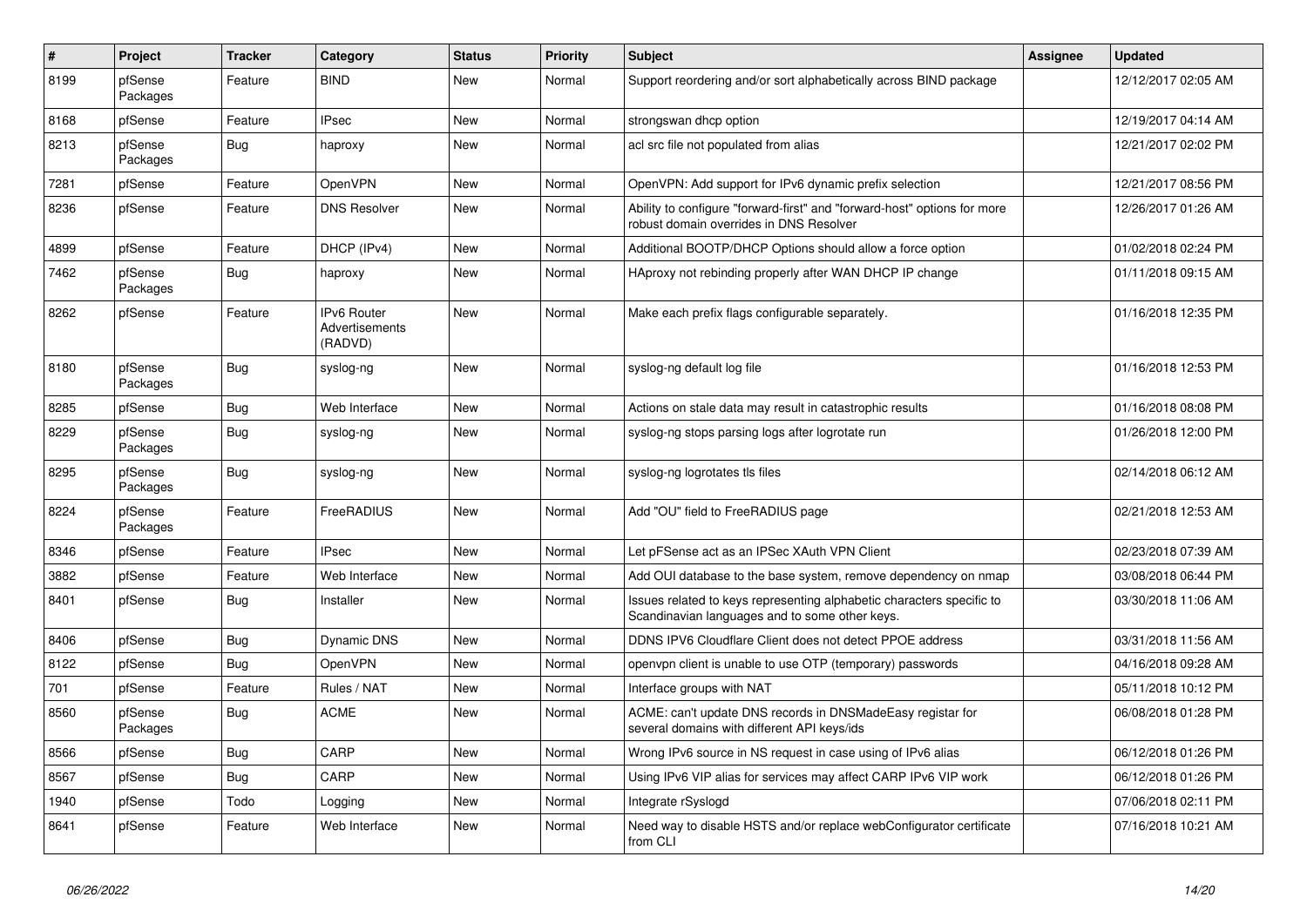| $\vert$ # | Project             | <b>Tracker</b> | Category                                        | <b>Status</b> | <b>Priority</b> | <b>Subject</b>                                                                                                          | Assignee | Updated             |
|-----------|---------------------|----------------|-------------------------------------------------|---------------|-----------------|-------------------------------------------------------------------------------------------------------------------------|----------|---------------------|
| 8199      | pfSense<br>Packages | Feature        | <b>BIND</b>                                     | <b>New</b>    | Normal          | Support reordering and/or sort alphabetically across BIND package                                                       |          | 12/12/2017 02:05 AM |
| 8168      | pfSense             | Feature        | <b>IPsec</b>                                    | <b>New</b>    | Normal          | strongswan dhcp option                                                                                                  |          | 12/19/2017 04:14 AM |
| 8213      | pfSense<br>Packages | Bug            | haproxy                                         | <b>New</b>    | Normal          | acl src file not populated from alias                                                                                   |          | 12/21/2017 02:02 PM |
| 7281      | pfSense             | Feature        | OpenVPN                                         | <b>New</b>    | Normal          | OpenVPN: Add support for IPv6 dynamic prefix selection                                                                  |          | 12/21/2017 08:56 PM |
| 8236      | pfSense             | Feature        | <b>DNS Resolver</b>                             | <b>New</b>    | Normal          | Ability to configure "forward-first" and "forward-host" options for more<br>robust domain overrides in DNS Resolver     |          | 12/26/2017 01:26 AM |
| 4899      | pfSense             | Feature        | DHCP (IPv4)                                     | <b>New</b>    | Normal          | Additional BOOTP/DHCP Options should allow a force option                                                               |          | 01/02/2018 02:24 PM |
| 7462      | pfSense<br>Packages | <b>Bug</b>     | haproxy                                         | New           | Normal          | HAproxy not rebinding properly after WAN DHCP IP change                                                                 |          | 01/11/2018 09:15 AM |
| 8262      | pfSense             | Feature        | <b>IPv6 Router</b><br>Advertisements<br>(RADVD) | <b>New</b>    | Normal          | Make each prefix flags configurable separately.                                                                         |          | 01/16/2018 12:35 PM |
| 8180      | pfSense<br>Packages | Bug            | syslog-ng                                       | New           | Normal          | syslog-ng default log file                                                                                              |          | 01/16/2018 12:53 PM |
| 8285      | pfSense             | <b>Bug</b>     | Web Interface                                   | <b>New</b>    | Normal          | Actions on stale data may result in catastrophic results                                                                |          | 01/16/2018 08:08 PM |
| 8229      | pfSense<br>Packages | Bug            | syslog-ng                                       | <b>New</b>    | Normal          | syslog-ng stops parsing logs after logrotate run                                                                        |          | 01/26/2018 12:00 PM |
| 8295      | pfSense<br>Packages | <b>Bug</b>     | syslog-ng                                       | <b>New</b>    | Normal          | syslog-ng logrotates tls files                                                                                          |          | 02/14/2018 06:12 AM |
| 8224      | pfSense<br>Packages | Feature        | FreeRADIUS                                      | <b>New</b>    | Normal          | Add "OU" field to FreeRADIUS page                                                                                       |          | 02/21/2018 12:53 AM |
| 8346      | pfSense             | Feature        | <b>IPsec</b>                                    | <b>New</b>    | Normal          | Let pFSense act as an IPSec XAuth VPN Client                                                                            |          | 02/23/2018 07:39 AM |
| 3882      | pfSense             | Feature        | Web Interface                                   | New           | Normal          | Add OUI database to the base system, remove dependency on nmap                                                          |          | 03/08/2018 06:44 PM |
| 8401      | pfSense             | Bug            | Installer                                       | New           | Normal          | Issues related to keys representing alphabetic characters specific to<br>Scandinavian languages and to some other keys. |          | 03/30/2018 11:06 AM |
| 8406      | pfSense             | <b>Bug</b>     | Dynamic DNS                                     | <b>New</b>    | Normal          | DDNS IPV6 Cloudflare Client does not detect PPOE address                                                                |          | 03/31/2018 11:56 AM |
| 8122      | pfSense             | <b>Bug</b>     | OpenVPN                                         | <b>New</b>    | Normal          | openvpn client is unable to use OTP (temporary) passwords                                                               |          | 04/16/2018 09:28 AM |
| 701       | pfSense             | Feature        | Rules / NAT                                     | <b>New</b>    | Normal          | Interface groups with NAT                                                                                               |          | 05/11/2018 10:12 PM |
| 8560      | pfSense<br>Packages | Bug            | <b>ACME</b>                                     | New           | Normal          | ACME: can't update DNS records in DNSMadeEasy registar for<br>several domains with different API keys/ids               |          | 06/08/2018 01:28 PM |
| 8566      | pfSense             | Bug            | CARP                                            | <b>New</b>    | Normal          | Wrong IPv6 source in NS request in case using of IPv6 alias                                                             |          | 06/12/2018 01:26 PM |
| 8567      | pfSense             | Bug            | CARP                                            | <b>New</b>    | Normal          | Using IPv6 VIP alias for services may affect CARP IPv6 VIP work                                                         |          | 06/12/2018 01:26 PM |
| 1940      | pfSense             | Todo           | Logging                                         | <b>New</b>    | Normal          | Integrate rSyslogd                                                                                                      |          | 07/06/2018 02:11 PM |
| 8641      | pfSense             | Feature        | Web Interface                                   | <b>New</b>    | Normal          | Need way to disable HSTS and/or replace webConfigurator certificate<br>from CLI                                         |          | 07/16/2018 10:21 AM |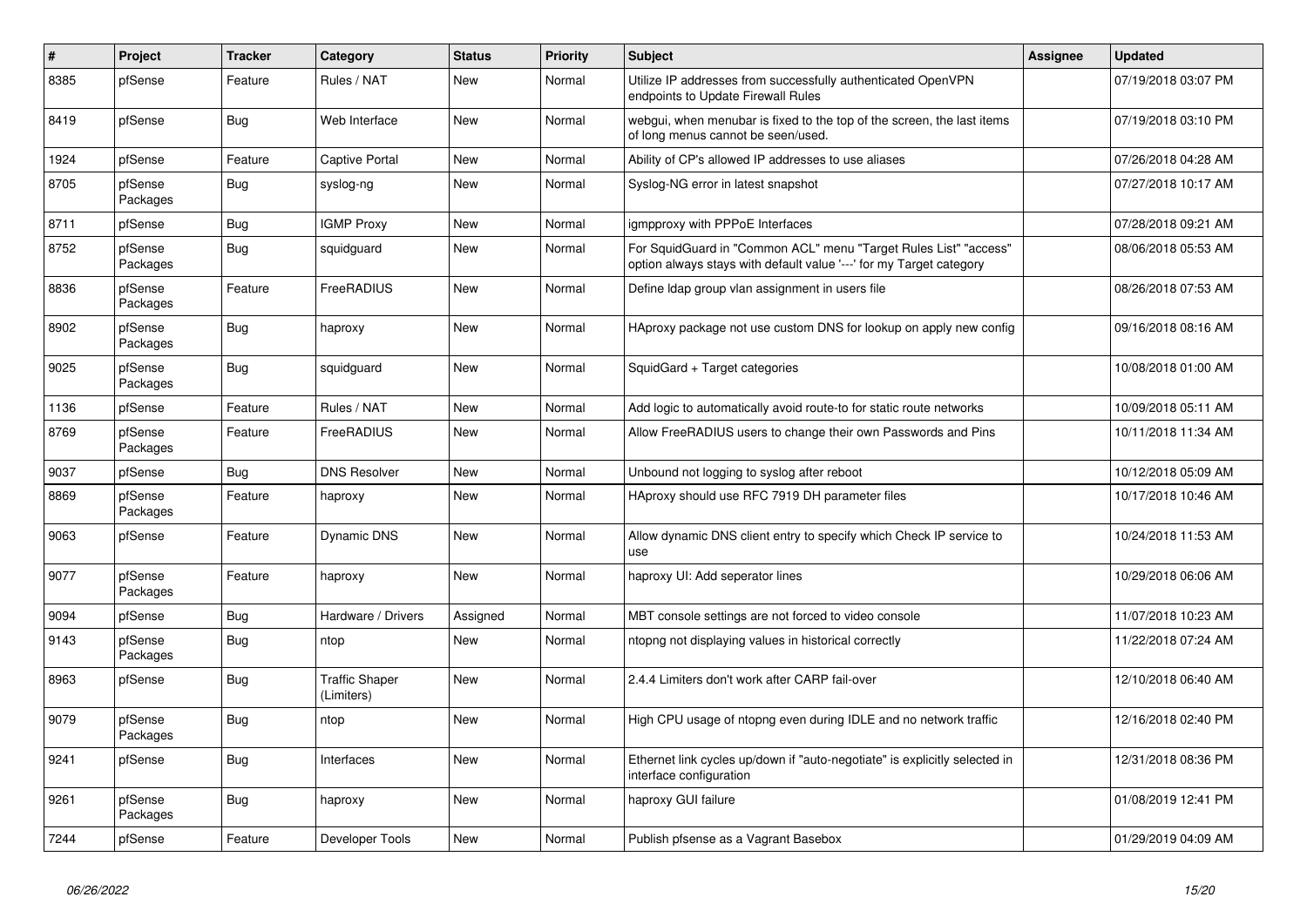| $\#$ | Project             | <b>Tracker</b> | Category                            | <b>Status</b> | Priority | Subject                                                                                                                                 | <b>Assignee</b> | <b>Updated</b>      |
|------|---------------------|----------------|-------------------------------------|---------------|----------|-----------------------------------------------------------------------------------------------------------------------------------------|-----------------|---------------------|
| 8385 | pfSense             | Feature        | Rules / NAT                         | New           | Normal   | Utilize IP addresses from successfully authenticated OpenVPN<br>endpoints to Update Firewall Rules                                      |                 | 07/19/2018 03:07 PM |
| 8419 | pfSense             | <b>Bug</b>     | Web Interface                       | <b>New</b>    | Normal   | webgui, when menubar is fixed to the top of the screen, the last items<br>of long menus cannot be seen/used.                            |                 | 07/19/2018 03:10 PM |
| 1924 | pfSense             | Feature        | <b>Captive Portal</b>               | <b>New</b>    | Normal   | Ability of CP's allowed IP addresses to use aliases                                                                                     |                 | 07/26/2018 04:28 AM |
| 8705 | pfSense<br>Packages | Bug            | syslog-ng                           | New           | Normal   | Syslog-NG error in latest snapshot                                                                                                      |                 | 07/27/2018 10:17 AM |
| 8711 | pfSense             | <b>Bug</b>     | <b>IGMP Proxy</b>                   | <b>New</b>    | Normal   | igmpproxy with PPPoE Interfaces                                                                                                         |                 | 07/28/2018 09:21 AM |
| 8752 | pfSense<br>Packages | <b>Bug</b>     | squidguard                          | <b>New</b>    | Normal   | For SquidGuard in "Common ACL" menu "Target Rules List" "access"<br>option always stays with default value '---' for my Target category |                 | 08/06/2018 05:53 AM |
| 8836 | pfSense<br>Packages | Feature        | FreeRADIUS                          | <b>New</b>    | Normal   | Define Idap group vlan assignment in users file                                                                                         |                 | 08/26/2018 07:53 AM |
| 8902 | pfSense<br>Packages | <b>Bug</b>     | haproxy                             | New           | Normal   | HAproxy package not use custom DNS for lookup on apply new config                                                                       |                 | 09/16/2018 08:16 AM |
| 9025 | pfSense<br>Packages | <b>Bug</b>     | squidguard                          | <b>New</b>    | Normal   | SquidGard + Target categories                                                                                                           |                 | 10/08/2018 01:00 AM |
| 1136 | pfSense             | Feature        | Rules / NAT                         | <b>New</b>    | Normal   | Add logic to automatically avoid route-to for static route networks                                                                     |                 | 10/09/2018 05:11 AM |
| 8769 | pfSense<br>Packages | Feature        | FreeRADIUS                          | <b>New</b>    | Normal   | Allow FreeRADIUS users to change their own Passwords and Pins                                                                           |                 | 10/11/2018 11:34 AM |
| 9037 | pfSense             | <b>Bug</b>     | <b>DNS Resolver</b>                 | New           | Normal   | Unbound not logging to syslog after reboot                                                                                              |                 | 10/12/2018 05:09 AM |
| 8869 | pfSense<br>Packages | Feature        | haproxy                             | <b>New</b>    | Normal   | HAproxy should use RFC 7919 DH parameter files                                                                                          |                 | 10/17/2018 10:46 AM |
| 9063 | pfSense             | Feature        | Dynamic DNS                         | <b>New</b>    | Normal   | Allow dynamic DNS client entry to specify which Check IP service to<br>use                                                              |                 | 10/24/2018 11:53 AM |
| 9077 | pfSense<br>Packages | Feature        | haproxy                             | <b>New</b>    | Normal   | haproxy UI: Add seperator lines                                                                                                         |                 | 10/29/2018 06:06 AM |
| 9094 | pfSense             | Bug            | Hardware / Drivers                  | Assigned      | Normal   | MBT console settings are not forced to video console                                                                                    |                 | 11/07/2018 10:23 AM |
| 9143 | pfSense<br>Packages | <b>Bug</b>     | ntop                                | New           | Normal   | ntopng not displaying values in historical correctly                                                                                    |                 | 11/22/2018 07:24 AM |
| 8963 | pfSense             | <b>Bug</b>     | <b>Traffic Shaper</b><br>(Limiters) | <b>New</b>    | Normal   | 2.4.4 Limiters don't work after CARP fail-over                                                                                          |                 | 12/10/2018 06:40 AM |
| 9079 | pfSense<br>Packages | <b>Bug</b>     | ntop                                | New           | Normal   | High CPU usage of ntopng even during IDLE and no network traffic                                                                        |                 | 12/16/2018 02:40 PM |
| 9241 | pfSense             | <b>Bug</b>     | Interfaces                          | <b>New</b>    | Normal   | Ethernet link cycles up/down if "auto-negotiate" is explicitly selected in<br>interface configuration                                   |                 | 12/31/2018 08:36 PM |
| 9261 | pfSense<br>Packages | Bug            | haproxy                             | New           | Normal   | haproxy GUI failure                                                                                                                     |                 | 01/08/2019 12:41 PM |
| 7244 | pfSense             | Feature        | Developer Tools                     | New           | Normal   | Publish pfsense as a Vagrant Basebox                                                                                                    |                 | 01/29/2019 04:09 AM |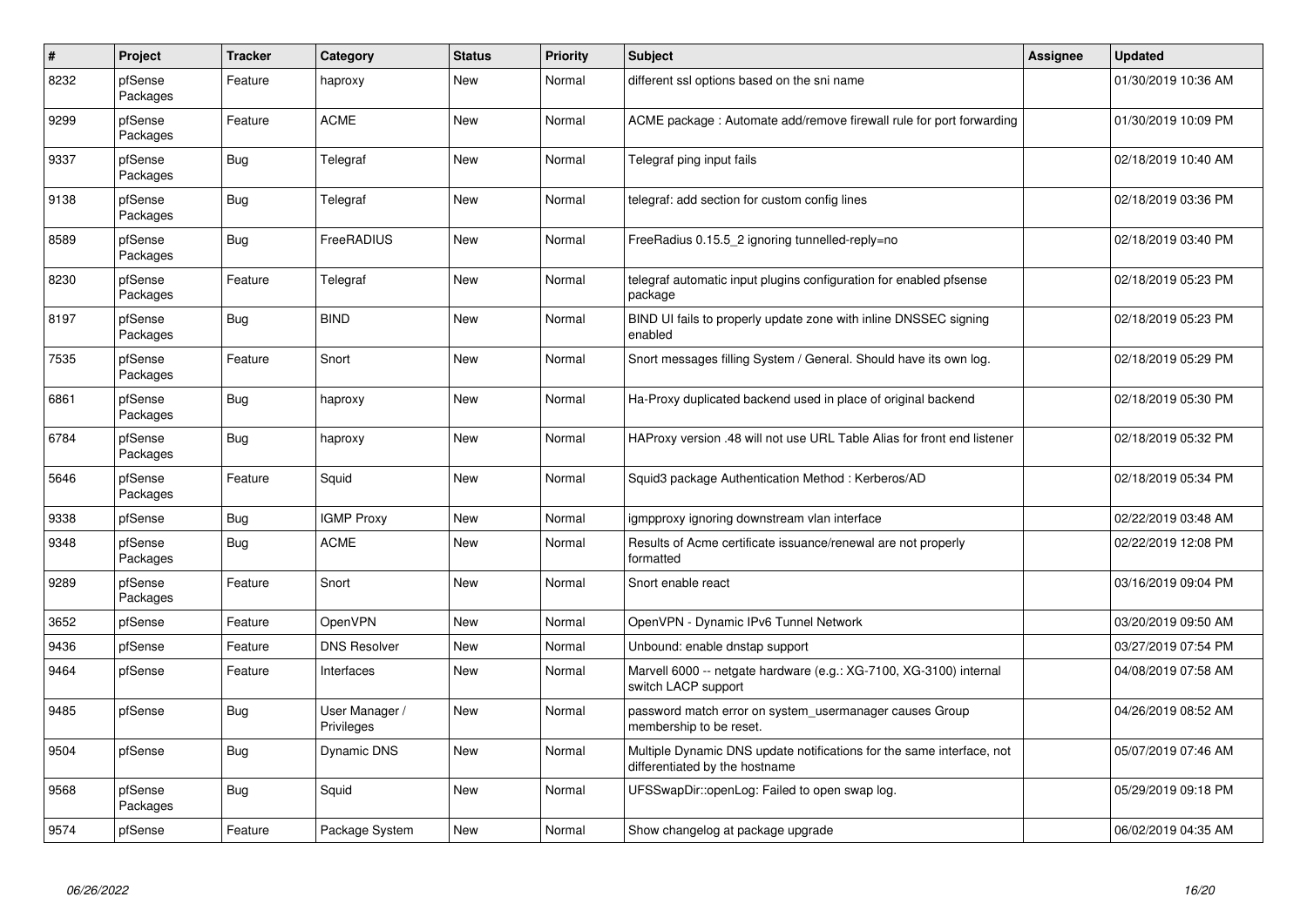| $\pmb{\#}$ | <b>Project</b>      | <b>Tracker</b> | Category                     | <b>Status</b> | <b>Priority</b> | <b>Subject</b>                                                                                          | Assignee | <b>Updated</b>      |
|------------|---------------------|----------------|------------------------------|---------------|-----------------|---------------------------------------------------------------------------------------------------------|----------|---------------------|
| 8232       | pfSense<br>Packages | Feature        | haproxy                      | New           | Normal          | different ssl options based on the sni name                                                             |          | 01/30/2019 10:36 AM |
| 9299       | pfSense<br>Packages | Feature        | <b>ACME</b>                  | New           | Normal          | ACME package: Automate add/remove firewall rule for port forwarding                                     |          | 01/30/2019 10:09 PM |
| 9337       | pfSense<br>Packages | <b>Bug</b>     | Telegraf                     | New           | Normal          | Telegraf ping input fails                                                                               |          | 02/18/2019 10:40 AM |
| 9138       | pfSense<br>Packages | <b>Bug</b>     | Telegraf                     | New           | Normal          | telegraf: add section for custom config lines                                                           |          | 02/18/2019 03:36 PM |
| 8589       | pfSense<br>Packages | <b>Bug</b>     | FreeRADIUS                   | New           | Normal          | FreeRadius 0.15.5_2 ignoring tunnelled-reply=no                                                         |          | 02/18/2019 03:40 PM |
| 8230       | pfSense<br>Packages | Feature        | Telegraf                     | <b>New</b>    | Normal          | telegraf automatic input plugins configuration for enabled pfsense<br>package                           |          | 02/18/2019 05:23 PM |
| 8197       | pfSense<br>Packages | <b>Bug</b>     | <b>BIND</b>                  | <b>New</b>    | Normal          | BIND UI fails to properly update zone with inline DNSSEC signing<br>enabled                             |          | 02/18/2019 05:23 PM |
| 7535       | pfSense<br>Packages | Feature        | Snort                        | <b>New</b>    | Normal          | Snort messages filling System / General. Should have its own log.                                       |          | 02/18/2019 05:29 PM |
| 6861       | pfSense<br>Packages | Bug            | haproxy                      | New           | Normal          | Ha-Proxy duplicated backend used in place of original backend                                           |          | 02/18/2019 05:30 PM |
| 6784       | pfSense<br>Packages | Bug            | haproxy                      | New           | Normal          | HAProxy version .48 will not use URL Table Alias for front end listener                                 |          | 02/18/2019 05:32 PM |
| 5646       | pfSense<br>Packages | Feature        | Squid                        | New           | Normal          | Squid3 package Authentication Method: Kerberos/AD                                                       |          | 02/18/2019 05:34 PM |
| 9338       | pfSense             | <b>Bug</b>     | <b>IGMP Proxy</b>            | New           | Normal          | igmpproxy ignoring downstream vlan interface                                                            |          | 02/22/2019 03:48 AM |
| 9348       | pfSense<br>Packages | <b>Bug</b>     | <b>ACME</b>                  | <b>New</b>    | Normal          | Results of Acme certificate issuance/renewal are not properly<br>formatted                              |          | 02/22/2019 12:08 PM |
| 9289       | pfSense<br>Packages | Feature        | Snort                        | New           | Normal          | Snort enable react                                                                                      |          | 03/16/2019 09:04 PM |
| 3652       | pfSense             | Feature        | OpenVPN                      | New           | Normal          | OpenVPN - Dynamic IPv6 Tunnel Network                                                                   |          | 03/20/2019 09:50 AM |
| 9436       | pfSense             | Feature        | <b>DNS Resolver</b>          | New           | Normal          | Unbound: enable dnstap support                                                                          |          | 03/27/2019 07:54 PM |
| 9464       | pfSense             | Feature        | Interfaces                   | New           | Normal          | Marvell 6000 -- netgate hardware (e.g.: XG-7100, XG-3100) internal<br>switch LACP support               |          | 04/08/2019 07:58 AM |
| 9485       | pfSense             | Bug            | User Manager /<br>Privileges | New           | Normal          | password match error on system usermanager causes Group<br>membership to be reset.                      |          | 04/26/2019 08:52 AM |
| 9504       | pfSense             | Bug            | Dynamic DNS                  | New           | Normal          | Multiple Dynamic DNS update notifications for the same interface, not<br>differentiated by the hostname |          | 05/07/2019 07:46 AM |
| 9568       | pfSense<br>Packages | Bug            | Squid                        | New           | Normal          | UFSSwapDir::openLog: Failed to open swap log.                                                           |          | 05/29/2019 09:18 PM |
| 9574       | pfSense             | Feature        | Package System               | New           | Normal          | Show changelog at package upgrade                                                                       |          | 06/02/2019 04:35 AM |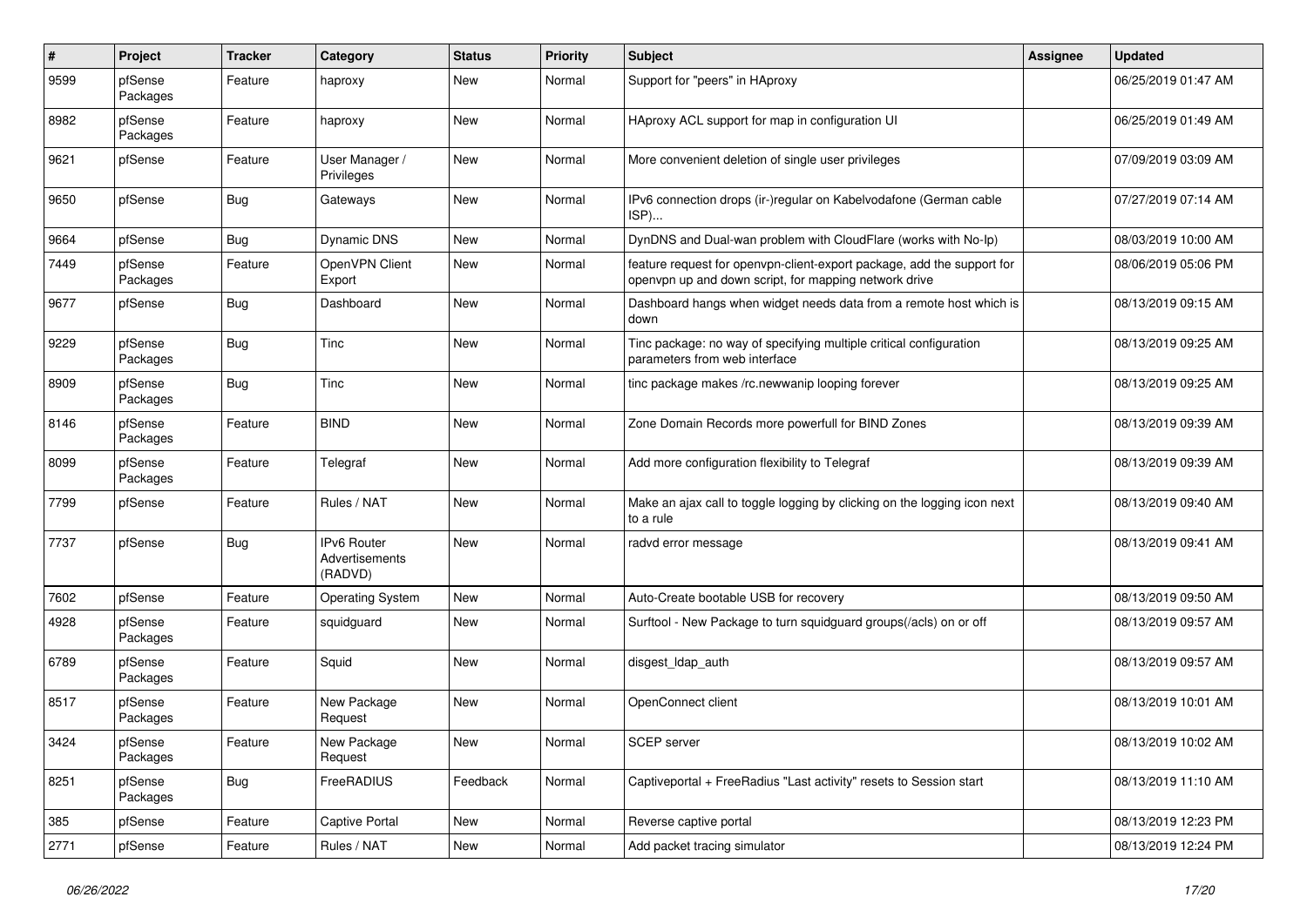| #    | Project             | <b>Tracker</b> | Category                                        | <b>Status</b> | <b>Priority</b> | <b>Subject</b>                                                                                                                  | <b>Assignee</b> | <b>Updated</b>      |
|------|---------------------|----------------|-------------------------------------------------|---------------|-----------------|---------------------------------------------------------------------------------------------------------------------------------|-----------------|---------------------|
| 9599 | pfSense<br>Packages | Feature        | haproxy                                         | New           | Normal          | Support for "peers" in HAproxy                                                                                                  |                 | 06/25/2019 01:47 AM |
| 8982 | pfSense<br>Packages | Feature        | haproxy                                         | <b>New</b>    | Normal          | HAproxy ACL support for map in configuration UI                                                                                 |                 | 06/25/2019 01:49 AM |
| 9621 | pfSense             | Feature        | User Manager /<br>Privileges                    | <b>New</b>    | Normal          | More convenient deletion of single user privileges                                                                              |                 | 07/09/2019 03:09 AM |
| 9650 | pfSense             | Bug            | Gateways                                        | New           | Normal          | IPv6 connection drops (ir-)regular on Kabelvodafone (German cable<br>ISP)                                                       |                 | 07/27/2019 07:14 AM |
| 9664 | pfSense             | Bug            | <b>Dynamic DNS</b>                              | <b>New</b>    | Normal          | DynDNS and Dual-wan problem with CloudFlare (works with No-Ip)                                                                  |                 | 08/03/2019 10:00 AM |
| 7449 | pfSense<br>Packages | Feature        | OpenVPN Client<br>Export                        | New           | Normal          | feature request for openvpn-client-export package, add the support for<br>openvpn up and down script, for mapping network drive |                 | 08/06/2019 05:06 PM |
| 9677 | pfSense             | Bug            | Dashboard                                       | <b>New</b>    | Normal          | Dashboard hangs when widget needs data from a remote host which is<br>down                                                      |                 | 08/13/2019 09:15 AM |
| 9229 | pfSense<br>Packages | Bug            | Tinc                                            | <b>New</b>    | Normal          | Tinc package: no way of specifying multiple critical configuration<br>parameters from web interface                             |                 | 08/13/2019 09:25 AM |
| 8909 | pfSense<br>Packages | Bug            | Tinc                                            | <b>New</b>    | Normal          | tinc package makes /rc.newwanip looping forever                                                                                 |                 | 08/13/2019 09:25 AM |
| 8146 | pfSense<br>Packages | Feature        | <b>BIND</b>                                     | New           | Normal          | Zone Domain Records more powerfull for BIND Zones                                                                               |                 | 08/13/2019 09:39 AM |
| 8099 | pfSense<br>Packages | Feature        | Telegraf                                        | New           | Normal          | Add more configuration flexibility to Telegraf                                                                                  |                 | 08/13/2019 09:39 AM |
| 7799 | pfSense             | Feature        | Rules / NAT                                     | <b>New</b>    | Normal          | Make an ajax call to toggle logging by clicking on the logging icon next<br>to a rule                                           |                 | 08/13/2019 09:40 AM |
| 7737 | pfSense             | Bug            | <b>IPv6 Router</b><br>Advertisements<br>(RADVD) | <b>New</b>    | Normal          | radvd error message                                                                                                             |                 | 08/13/2019 09:41 AM |
| 7602 | pfSense             | Feature        | <b>Operating System</b>                         | New           | Normal          | Auto-Create bootable USB for recovery                                                                                           |                 | 08/13/2019 09:50 AM |
| 4928 | pfSense<br>Packages | Feature        | squidguard                                      | New           | Normal          | Surftool - New Package to turn squidguard groups(/acls) on or off                                                               |                 | 08/13/2019 09:57 AM |
| 6789 | pfSense<br>Packages | Feature        | Squid                                           | <b>New</b>    | Normal          | disgest_ldap_auth                                                                                                               |                 | 08/13/2019 09:57 AM |
| 8517 | pfSense<br>Packages | Feature        | New Package<br>Request                          | New           | Normal          | OpenConnect client                                                                                                              |                 | 08/13/2019 10:01 AM |
| 3424 | pfSense<br>Packages | Feature        | New Package<br>Request                          | New           | Normal          | SCEP server                                                                                                                     |                 | 08/13/2019 10:02 AM |
| 8251 | pfSense<br>Packages | <b>Bug</b>     | FreeRADIUS                                      | Feedback      | Normal          | Captiveportal + FreeRadius "Last activity" resets to Session start                                                              |                 | 08/13/2019 11:10 AM |
| 385  | pfSense             | Feature        | Captive Portal                                  | <b>New</b>    | Normal          | Reverse captive portal                                                                                                          |                 | 08/13/2019 12:23 PM |
| 2771 | pfSense             | Feature        | Rules / NAT                                     | New           | Normal          | Add packet tracing simulator                                                                                                    |                 | 08/13/2019 12:24 PM |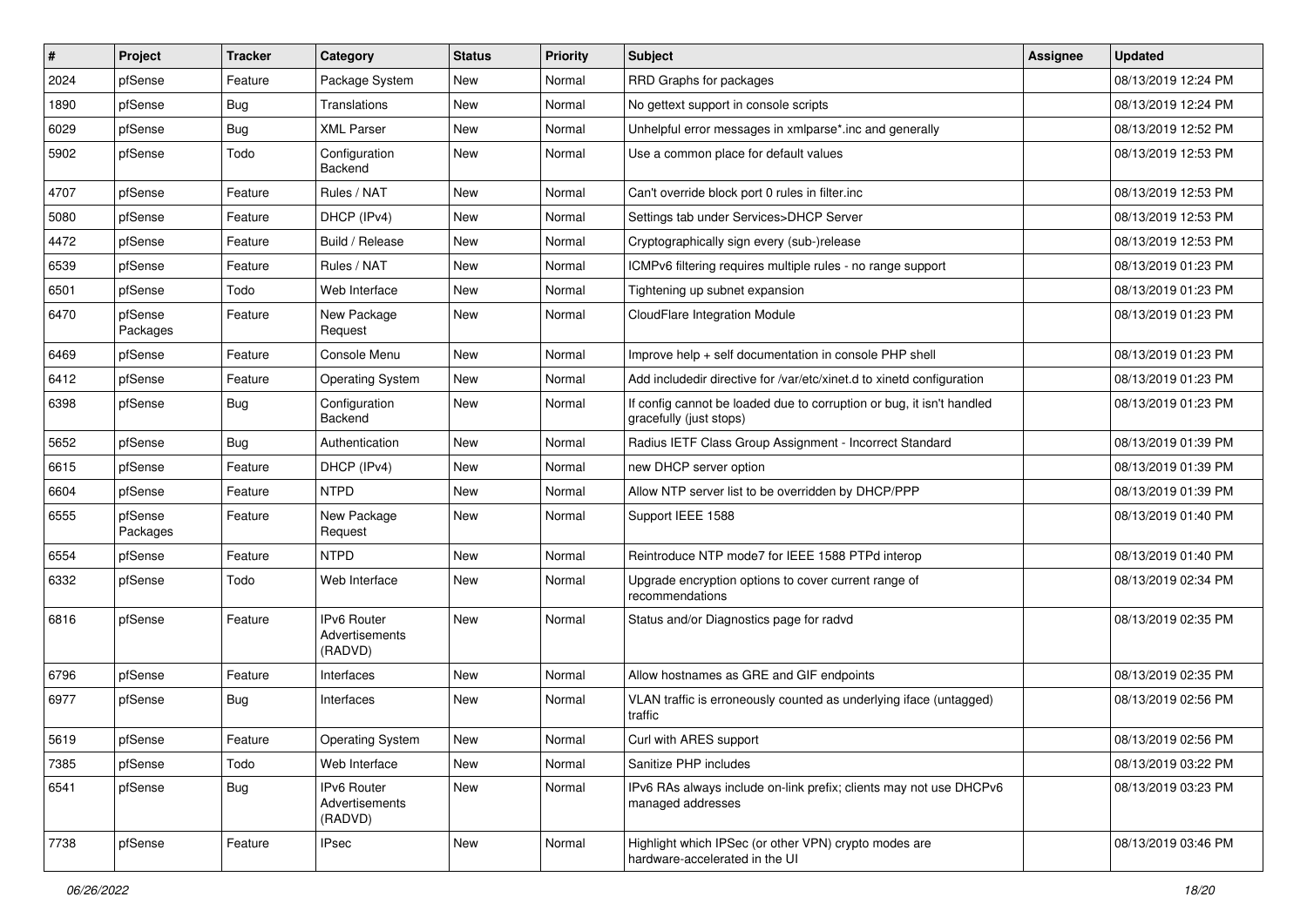| #    | Project             | <b>Tracker</b> | Category                                        | <b>Status</b> | <b>Priority</b> | <b>Subject</b>                                                                                   | <b>Assignee</b> | <b>Updated</b>      |
|------|---------------------|----------------|-------------------------------------------------|---------------|-----------------|--------------------------------------------------------------------------------------------------|-----------------|---------------------|
| 2024 | pfSense             | Feature        | Package System                                  | New           | Normal          | RRD Graphs for packages                                                                          |                 | 08/13/2019 12:24 PM |
| 1890 | pfSense             | Bug            | Translations                                    | New           | Normal          | No gettext support in console scripts                                                            |                 | 08/13/2019 12:24 PM |
| 6029 | pfSense             | Bug            | <b>XML Parser</b>                               | New           | Normal          | Unhelpful error messages in xmlparse*.inc and generally                                          |                 | 08/13/2019 12:52 PM |
| 5902 | pfSense             | Todo           | Configuration<br>Backend                        | New           | Normal          | Use a common place for default values                                                            |                 | 08/13/2019 12:53 PM |
| 4707 | pfSense             | Feature        | Rules / NAT                                     | <b>New</b>    | Normal          | Can't override block port 0 rules in filter.inc                                                  |                 | 08/13/2019 12:53 PM |
| 5080 | pfSense             | Feature        | DHCP (IPv4)                                     | New           | Normal          | Settings tab under Services>DHCP Server                                                          |                 | 08/13/2019 12:53 PM |
| 4472 | pfSense             | Feature        | Build / Release                                 | New           | Normal          | Cryptographically sign every (sub-)release                                                       |                 | 08/13/2019 12:53 PM |
| 6539 | pfSense             | Feature        | Rules / NAT                                     | New           | Normal          | ICMPv6 filtering requires multiple rules - no range support                                      |                 | 08/13/2019 01:23 PM |
| 6501 | pfSense             | Todo           | Web Interface                                   | <b>New</b>    | Normal          | Tightening up subnet expansion                                                                   |                 | 08/13/2019 01:23 PM |
| 6470 | pfSense<br>Packages | Feature        | New Package<br>Request                          | New           | Normal          | CloudFlare Integration Module                                                                    |                 | 08/13/2019 01:23 PM |
| 6469 | pfSense             | Feature        | Console Menu                                    | New           | Normal          | Improve help + self documentation in console PHP shell                                           |                 | 08/13/2019 01:23 PM |
| 6412 | pfSense             | Feature        | <b>Operating System</b>                         | New           | Normal          | Add includedir directive for /var/etc/xinet.d to xinetd configuration                            |                 | 08/13/2019 01:23 PM |
| 6398 | pfSense             | Bug            | Configuration<br>Backend                        | New           | Normal          | If config cannot be loaded due to corruption or bug, it isn't handled<br>gracefully (just stops) |                 | 08/13/2019 01:23 PM |
| 5652 | pfSense             | Bug            | Authentication                                  | New           | Normal          | Radius IETF Class Group Assignment - Incorrect Standard                                          |                 | 08/13/2019 01:39 PM |
| 6615 | pfSense             | Feature        | DHCP (IPv4)                                     | <b>New</b>    | Normal          | new DHCP server option                                                                           |                 | 08/13/2019 01:39 PM |
| 6604 | pfSense             | Feature        | <b>NTPD</b>                                     | New           | Normal          | Allow NTP server list to be overridden by DHCP/PPP                                               |                 | 08/13/2019 01:39 PM |
| 6555 | pfSense<br>Packages | Feature        | New Package<br>Request                          | New           | Normal          | Support IEEE 1588                                                                                |                 | 08/13/2019 01:40 PM |
| 6554 | pfSense             | Feature        | <b>NTPD</b>                                     | <b>New</b>    | Normal          | Reintroduce NTP mode7 for IEEE 1588 PTPd interop                                                 |                 | 08/13/2019 01:40 PM |
| 6332 | pfSense             | Todo           | Web Interface                                   | New           | Normal          | Upgrade encryption options to cover current range of<br>recommendations                          |                 | 08/13/2019 02:34 PM |
| 6816 | pfSense             | Feature        | IPv6 Router<br>Advertisements<br>(RADVD)        | New           | Normal          | Status and/or Diagnostics page for radvd                                                         |                 | 08/13/2019 02:35 PM |
| 6796 | pfSense             | Feature        | Interfaces                                      | New           | Normal          | Allow hostnames as GRE and GIF endpoints                                                         |                 | 08/13/2019 02:35 PM |
| 6977 | pfSense             | <b>Bug</b>     | Interfaces                                      | New           | Normal          | VLAN traffic is erroneously counted as underlying iface (untagged)<br>traffic                    |                 | 08/13/2019 02:56 PM |
| 5619 | pfSense             | I Feature      | Operating System                                | New           | Normal          | Curl with ARES support                                                                           |                 | 08/13/2019 02:56 PM |
| 7385 | pfSense             | Todo           | Web Interface                                   | New           | Normal          | Sanitize PHP includes                                                                            |                 | 08/13/2019 03:22 PM |
| 6541 | pfSense             | Bug            | <b>IPv6 Router</b><br>Advertisements<br>(RADVD) | New           | Normal          | IPv6 RAs always include on-link prefix; clients may not use DHCPv6<br>managed addresses          |                 | 08/13/2019 03:23 PM |
| 7738 | pfSense             | Feature        | <b>IPsec</b>                                    | New           | Normal          | Highlight which IPSec (or other VPN) crypto modes are<br>hardware-accelerated in the UI          |                 | 08/13/2019 03:46 PM |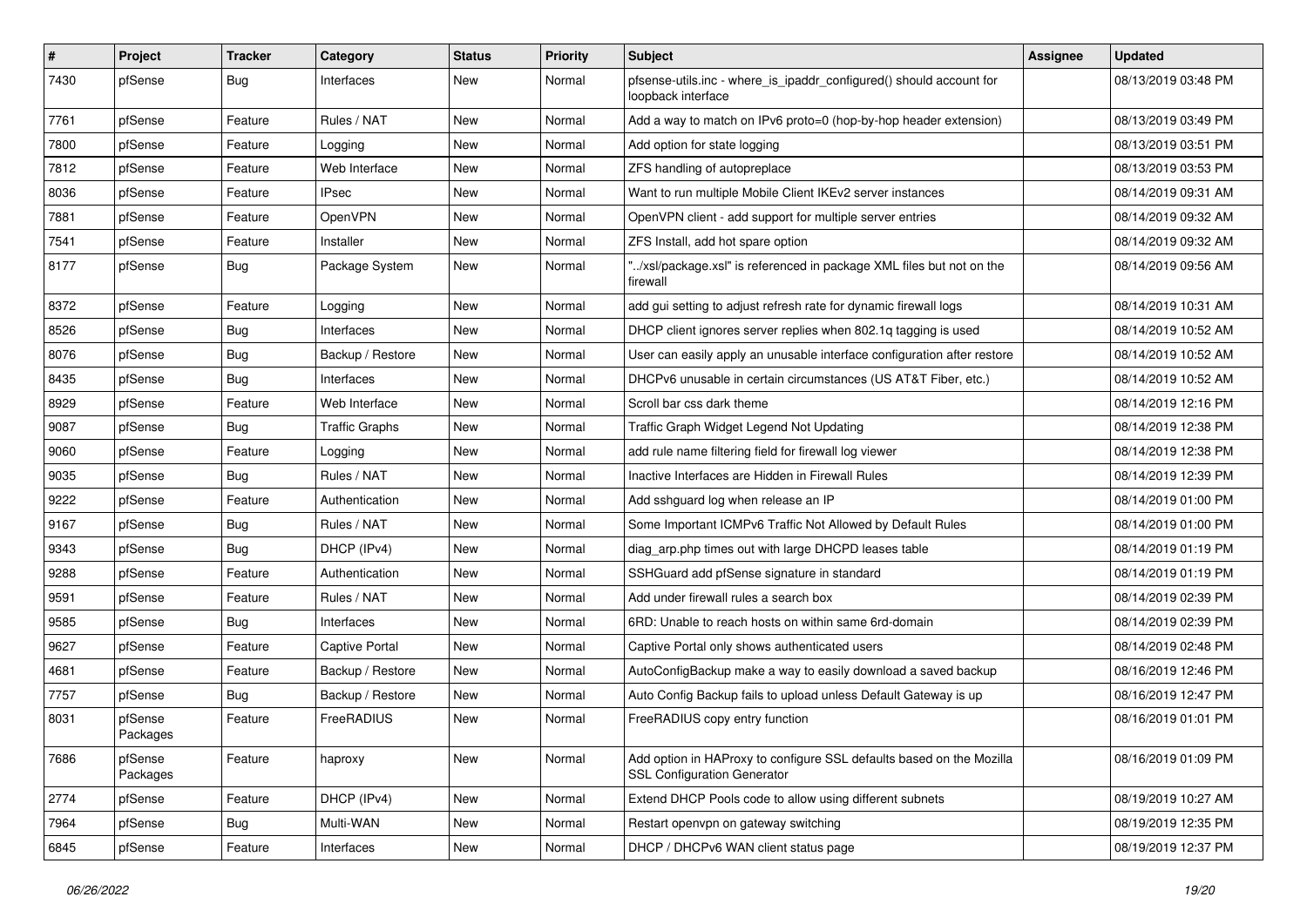| $\vert$ # | Project             | <b>Tracker</b> | Category              | <b>Status</b> | <b>Priority</b> | <b>Subject</b>                                                                                             | Assignee | <b>Updated</b>      |
|-----------|---------------------|----------------|-----------------------|---------------|-----------------|------------------------------------------------------------------------------------------------------------|----------|---------------------|
| 7430      | pfSense             | <b>Bug</b>     | Interfaces            | New           | Normal          | pfsense-utils.inc - where_is_ipaddr_configured() should account for<br>loopback interface                  |          | 08/13/2019 03:48 PM |
| 7761      | pfSense             | Feature        | Rules / NAT           | New           | Normal          | Add a way to match on IPv6 proto=0 (hop-by-hop header extension)                                           |          | 08/13/2019 03:49 PM |
| 7800      | pfSense             | Feature        | Logging               | <b>New</b>    | Normal          | Add option for state logging                                                                               |          | 08/13/2019 03:51 PM |
| 7812      | pfSense             | Feature        | Web Interface         | New           | Normal          | ZFS handling of autopreplace                                                                               |          | 08/13/2019 03:53 PM |
| 8036      | pfSense             | Feature        | <b>IPsec</b>          | New           | Normal          | Want to run multiple Mobile Client IKEv2 server instances                                                  |          | 08/14/2019 09:31 AM |
| 7881      | pfSense             | Feature        | OpenVPN               | New           | Normal          | OpenVPN client - add support for multiple server entries                                                   |          | 08/14/2019 09:32 AM |
| 7541      | pfSense             | Feature        | Installer             | <b>New</b>    | Normal          | ZFS Install, add hot spare option                                                                          |          | 08/14/2019 09:32 AM |
| 8177      | pfSense             | Bug            | Package System        | New           | Normal          | "/xsl/package.xsl" is referenced in package XML files but not on the<br>firewall                           |          | 08/14/2019 09:56 AM |
| 8372      | pfSense             | Feature        | Logging               | <b>New</b>    | Normal          | add gui setting to adjust refresh rate for dynamic firewall logs                                           |          | 08/14/2019 10:31 AM |
| 8526      | pfSense             | <b>Bug</b>     | Interfaces            | New           | Normal          | DHCP client ignores server replies when 802.1q tagging is used                                             |          | 08/14/2019 10:52 AM |
| 8076      | pfSense             | Bug            | Backup / Restore      | New           | Normal          | User can easily apply an unusable interface configuration after restore                                    |          | 08/14/2019 10:52 AM |
| 8435      | pfSense             | Bug            | Interfaces            | New           | Normal          | DHCPv6 unusable in certain circumstances (US AT&T Fiber, etc.)                                             |          | 08/14/2019 10:52 AM |
| 8929      | pfSense             | Feature        | Web Interface         | New           | Normal          | Scroll bar css dark theme                                                                                  |          | 08/14/2019 12:16 PM |
| 9087      | pfSense             | <b>Bug</b>     | <b>Traffic Graphs</b> | New           | Normal          | Traffic Graph Widget Legend Not Updating                                                                   |          | 08/14/2019 12:38 PM |
| 9060      | pfSense             | Feature        | Logging               | <b>New</b>    | Normal          | add rule name filtering field for firewall log viewer                                                      |          | 08/14/2019 12:38 PM |
| 9035      | pfSense             | Bug            | Rules / NAT           | New           | Normal          | Inactive Interfaces are Hidden in Firewall Rules                                                           |          | 08/14/2019 12:39 PM |
| 9222      | pfSense             | Feature        | Authentication        | New           | Normal          | Add sshguard log when release an IP                                                                        |          | 08/14/2019 01:00 PM |
| 9167      | pfSense             | Bug            | Rules / NAT           | New           | Normal          | Some Important ICMPv6 Traffic Not Allowed by Default Rules                                                 |          | 08/14/2019 01:00 PM |
| 9343      | pfSense             | Bug            | DHCP (IPv4)           | New           | Normal          | diag_arp.php times out with large DHCPD leases table                                                       |          | 08/14/2019 01:19 PM |
| 9288      | pfSense             | Feature        | Authentication        | New           | Normal          | SSHGuard add pfSense signature in standard                                                                 |          | 08/14/2019 01:19 PM |
| 9591      | pfSense             | Feature        | Rules / NAT           | New           | Normal          | Add under firewall rules a search box                                                                      |          | 08/14/2019 02:39 PM |
| 9585      | pfSense             | <b>Bug</b>     | Interfaces            | New           | Normal          | 6RD: Unable to reach hosts on within same 6rd-domain                                                       |          | 08/14/2019 02:39 PM |
| 9627      | pfSense             | Feature        | <b>Captive Portal</b> | New           | Normal          | Captive Portal only shows authenticated users                                                              |          | 08/14/2019 02:48 PM |
| 4681      | pfSense             | Feature        | Backup / Restore      | New           | Normal          | AutoConfigBackup make a way to easily download a saved backup                                              |          | 08/16/2019 12:46 PM |
| 7757      | pfSense             | <b>Bug</b>     | Backup / Restore      | New           | Normal          | Auto Config Backup fails to upload unless Default Gateway is up                                            |          | 08/16/2019 12:47 PM |
| 8031      | pfSense<br>Packages | Feature        | FreeRADIUS            | New           | Normal          | FreeRADIUS copy entry function                                                                             |          | 08/16/2019 01:01 PM |
| 7686      | pfSense<br>Packages | Feature        | haproxy               | New           | Normal          | Add option in HAProxy to configure SSL defaults based on the Mozilla<br><b>SSL Configuration Generator</b> |          | 08/16/2019 01:09 PM |
| 2774      | pfSense             | Feature        | DHCP (IPv4)           | New           | Normal          | Extend DHCP Pools code to allow using different subnets                                                    |          | 08/19/2019 10:27 AM |
| 7964      | pfSense             | <b>Bug</b>     | Multi-WAN             | New           | Normal          | Restart openvpn on gateway switching                                                                       |          | 08/19/2019 12:35 PM |
| 6845      | pfSense             | Feature        | Interfaces            | New           | Normal          | DHCP / DHCPv6 WAN client status page                                                                       |          | 08/19/2019 12:37 PM |